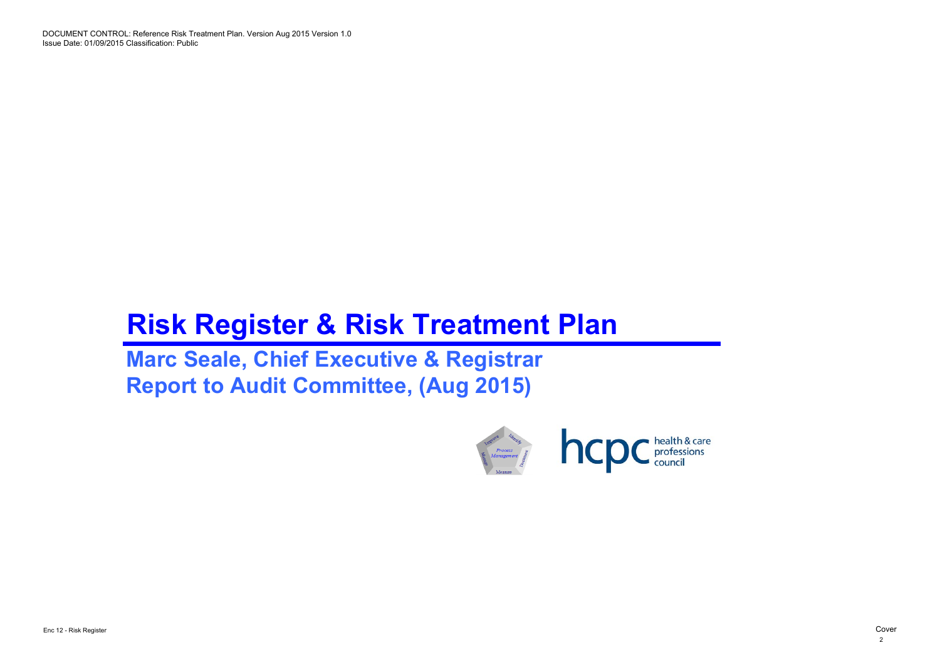DOCUMENT CONTROL: Reference Risk Treatment Plan. Version Aug 2015 Version 1.0 Issue Date: 01/09/2015 Classification: Public

# **Risk Register & Risk Treatment Plan**

**Marc Seale, Chief Executive & Registrar Report to Audit Committee, (Aug 2015)**



2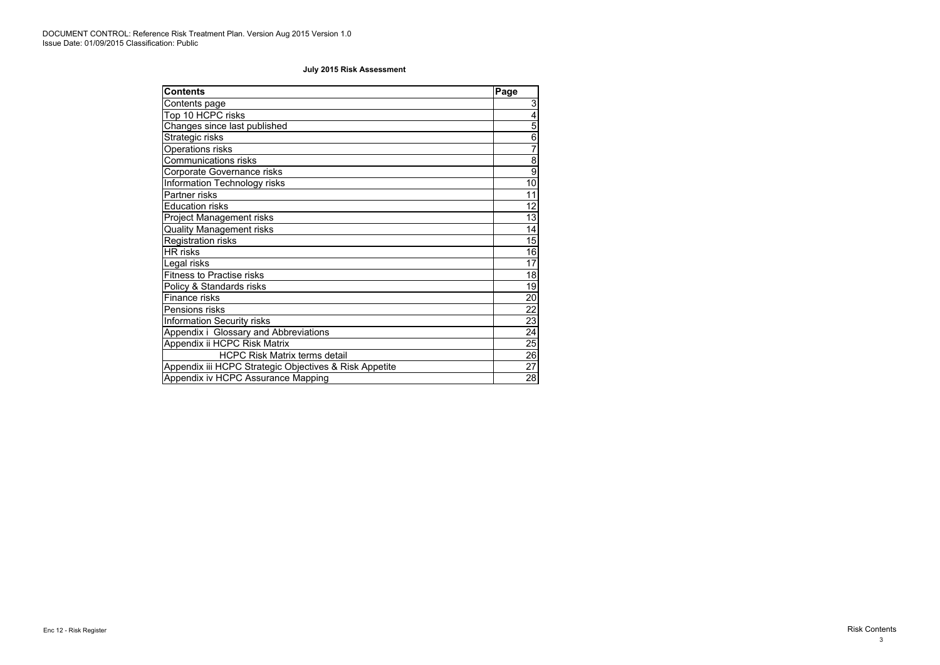| <b>Contents</b>                                        | Page            |
|--------------------------------------------------------|-----------------|
| Contents page                                          | $\mathfrak{S}$  |
| Top 10 HCPC risks                                      | $\overline{4}$  |
| Changes since last published                           | $\overline{5}$  |
| Strategic risks                                        | $\,6$           |
| <b>Operations risks</b>                                | $\overline{7}$  |
| <b>Communications risks</b>                            | $\overline{8}$  |
| <b>Corporate Governance risks</b>                      | $\overline{9}$  |
| <b>Information Technology risks</b>                    | 10 <sup>1</sup> |
| Partner risks                                          | 11              |
| <b>Education risks</b>                                 | 12              |
| <b>Project Management risks</b>                        | 13              |
| <b>Quality Management risks</b>                        | 14              |
| <b>Registration risks</b>                              | 15              |
| <b>HR</b> risks                                        | 16              |
| Legal risks                                            | 17              |
| <b>Fitness to Practise risks</b>                       | 18              |
| Policy & Standards risks                               | 19              |
| Finance risks                                          | 20              |
| Pensions risks                                         | 22              |
| <b>Information Security risks</b>                      | 23              |
| Appendix i Glossary and Abbreviations                  | $\overline{24}$ |
| Appendix ii HCPC Risk Matrix                           | 25              |
| <b>HCPC Risk Matrix terms detail</b>                   | $\overline{26}$ |
| Appendix iii HCPC Strategic Objectives & Risk Appetite | 27              |
| Appendix iv HCPC Assurance Mapping                     | 28              |

### **July 2015 Risk Assessment**

3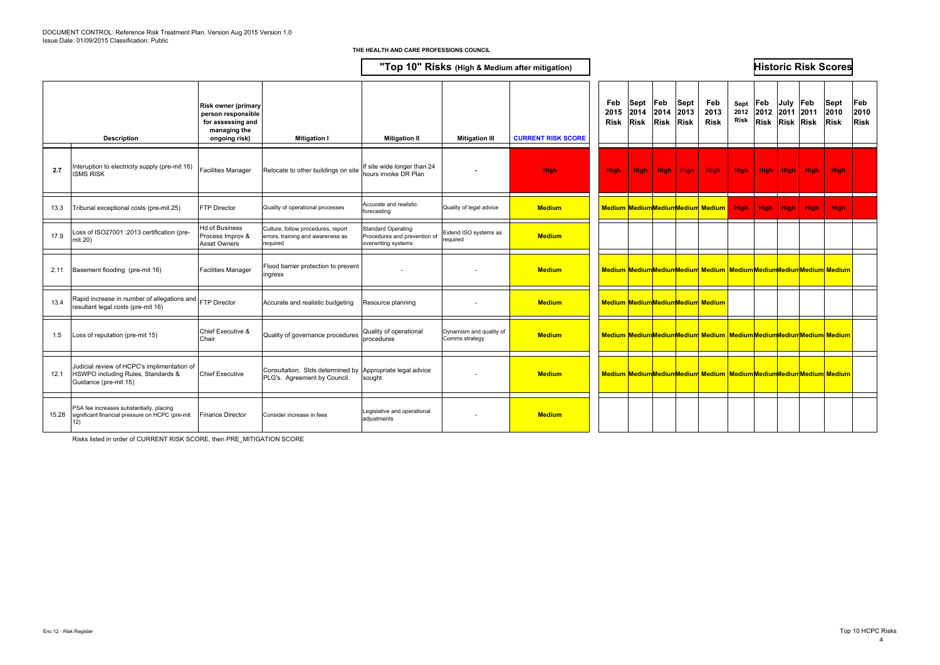|       | <b>Description</b>                                                                                         | <b>Risk owner (primary</b><br>person responsible<br>for assessing and<br>managing the<br>ongoing risk) | <b>Mitigation I</b>                                                                 | <b>Mitigation II</b>                                                             | <b>Mitigation III</b>                     | <b>CURRENT RISK SCORE</b> | Feb<br>2015<br><b>Risk</b> | Sept<br>2014<br><b>Risk</b> | Feb<br>2014 | Sept<br>2013<br><b>Risk Risk</b> | Feb<br>2013<br><b>Risk</b>                                                   | Sept<br><b>Risk</b> | $ {\sf Feb} $<br>2012 2012 2011 2011<br>Risk Risk Risk | July | Feb         | <b>Sept</b><br>2010<br><b>Risk</b> | Feb<br>2010<br><b>Risk</b> |
|-------|------------------------------------------------------------------------------------------------------------|--------------------------------------------------------------------------------------------------------|-------------------------------------------------------------------------------------|----------------------------------------------------------------------------------|-------------------------------------------|---------------------------|----------------------------|-----------------------------|-------------|----------------------------------|------------------------------------------------------------------------------|---------------------|--------------------------------------------------------|------|-------------|------------------------------------|----------------------------|
| 2.7   | Interuption to electricity supply (pre-mit 16)<br><b>ISMS RISK</b>                                         | <b>Facilities Manager</b>                                                                              | Relocate to other buildings on site                                                 | If site wide longer than 24<br>hours invoke DR Plan                              |                                           | <b>High</b>               | <b>High</b>                | <b>High</b>                 | High        | High                             | <b>High</b>                                                                  | <b>High</b>         | High                                                   | High | <b>High</b> | <b>High</b>                        |                            |
| 13.3  | Tribunal exceptional costs (pre-mit 25)                                                                    | FTP Director                                                                                           | Quality of operational processes                                                    | Accurate and realistic<br>forecasting                                            | Quality of legal advice                   | <b>Medium</b>             |                            |                             |             |                                  | <b>Medium MediumMediumMedium Medium</b>                                      | <b>High</b>         | High                                                   | High | <b>High</b> | <b>High</b>                        |                            |
| 17.9  | Loss of ISO27001 :2013 certification (pre-<br>mit 20)                                                      | Hd of Business<br>Process Improv &<br>Asset Owners                                                     | Culture, follow procedures, report<br>errors, training and awareness as<br>required | <b>Standard Operating</b><br>Procedures and prevention of<br>overwriting systems | Extend ISO systems as<br>required         | <b>Medium</b>             |                            |                             |             |                                  |                                                                              |                     |                                                        |      |             |                                    |                            |
| 2.11  | Basement flooding (pre-mit 16)                                                                             | <b>Facilities Manager</b>                                                                              | Flood barrier protection to prevent<br>ingress                                      |                                                                                  |                                           | <b>Medium</b>             |                            |                             |             |                                  | Medium MediumMediumMedium Medium MediumMediumMediumMedium Medium             |                     |                                                        |      |             |                                    |                            |
| 13.4  | Rapid increase in number of allegations and<br>resultant legal costs (pre-mit 16)                          | FTP Director                                                                                           | Accurate and realistic budgeting                                                    | Resource planning                                                                | $\overline{\phantom{a}}$                  | <b>Medium</b>             |                            |                             |             |                                  | Medium MediumMediumMedium Medium                                             |                     |                                                        |      |             |                                    |                            |
| 1.5   | Loss of reputation (pre-mit 15)                                                                            | Chief Executive &<br>Chair                                                                             | Quality of governance procedures                                                    | Quality of operational<br>procedures                                             | Dynamism and quality of<br>Comms strategy | <b>Medium</b>             |                            |                             |             |                                  | Medium MediumMediumMedium Medium MediumMediumMediumMedium Medium             |                     |                                                        |      |             |                                    |                            |
| 12.1  | Judicial review of HCPC's implimentation of<br>HSWPO including Rules, Standards &<br>Guidance (pre-mit 15) | <b>Chief Executive</b>                                                                                 | Consultation. Stds determined by<br>PLG's. Agreement by Council.                    | Appropriate legal advice<br>sought                                               |                                           | <b>Medium</b>             |                            |                             |             |                                  | Medium Medium Medium Medium Medium Medium Medium Medium Medium Medium Medium |                     |                                                        |      |             |                                    |                            |
| 15.28 | PSA fee increases substantially, placing<br>significant financial pressure on HCPC (pre-mit<br>12)         | Finance Director                                                                                       | Consider increase in fees                                                           | Legislative and operational<br>adjustments                                       |                                           | <b>Medium</b>             |                            |                             |             |                                  |                                                                              |                     |                                                        |      |             |                                    |                            |

Risks listed in order of CURRENT RISK SCORE, then PRE\_MITIGATION SCORE

#### **THE HEALTH AND CARE PROFESSIONS COUNCIL**

# **"Top 10" Risks (High & Medium after mitigation) Historic Risk Scores**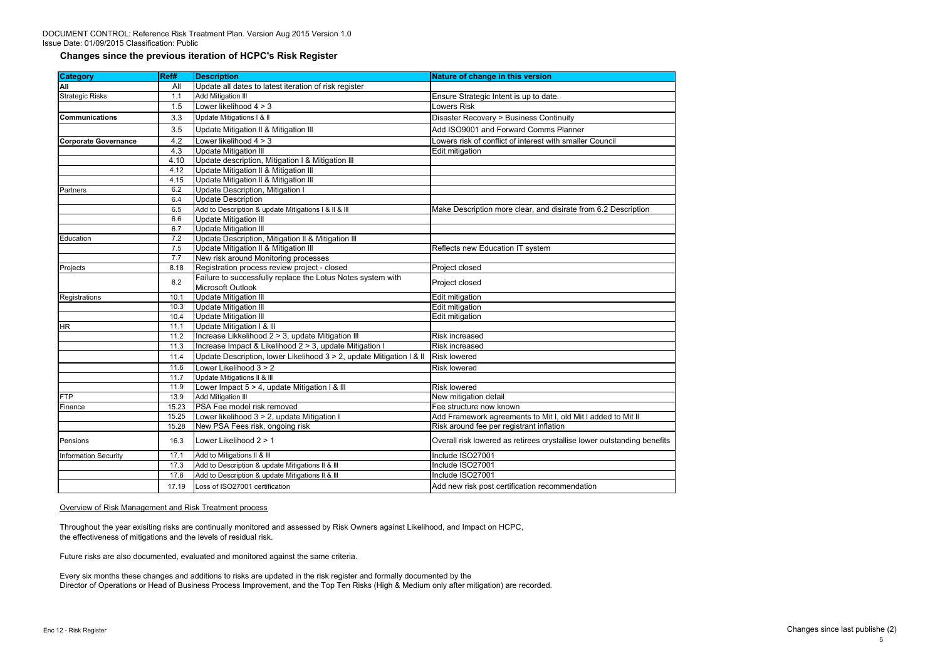DOCUMENT CONTROL: Reference Risk Treatment Plan. Version Aug 2015 Version 1.0 Issue Date: 01/09/2015 Classification: Public

### **Changes since the previous iteration of HCPC's Risk Register**

| <b>Category</b>             | Ref#  | <b>Description</b>                                                   | <b>Nature of change in this version</b>                                 |
|-----------------------------|-------|----------------------------------------------------------------------|-------------------------------------------------------------------------|
| <b>All</b>                  | All   | Update all dates to latest iteration of risk register                |                                                                         |
| <b>Strategic Risks</b>      | 1.1   | <b>Add Mitigation III</b>                                            | Ensure Strategic Intent is up to date.                                  |
|                             | 1.5   | Lower likelihood $4 > 3$                                             | Lowers Risk                                                             |
| <u>ICommunications</u>      | 3.3   | Update Mitigations I & II                                            | <b>Disaster Recovery &gt; Business Continuity</b>                       |
|                             | 3.5   | Update Mitigation II & Mitigation III                                | Add ISO9001 and Forward Comms Planner                                   |
| <b>Corporate Governance</b> | 4.2   | Lower likelihood $4 > 3$                                             | Lowers risk of conflict of interest with smaller Council                |
|                             | 4.3   | <b>Update Mitigation III</b>                                         | Edit mitigation                                                         |
|                             | 4.10  | Update description, Mitigation I & Mitigation III                    |                                                                         |
|                             | 4.12  | Update Mitigation II & Mitigation III                                |                                                                         |
|                             | 4.15  | Update Mitigation II & Mitigation III                                |                                                                         |
| Partners                    | 6.2   | Update Description, Mitigation I                                     |                                                                         |
|                             | 6.4   | <b>Update Description</b>                                            |                                                                         |
|                             | 6.5   | Add to Description & update Mitigations I & II & III                 | Make Description more clear, and disirate from 6.2 Description          |
|                             | 6.6   | <b>Update Mitigation III</b>                                         |                                                                         |
|                             | 6.7   | Update Mitigation III                                                |                                                                         |
| Education                   | 7.2   | Update Description, Mitigation II & Mitigation III                   |                                                                         |
|                             | 7.5   | Update Mitigation II & Mitigation III                                | Reflects new Education IT system                                        |
|                             | 7.7   | New risk around Monitoring processes                                 |                                                                         |
| Projects                    | 8.18  | Registration process review project - closed                         | Project closed                                                          |
|                             | 8.2   | Failure to successfully replace the Lotus Notes system with          |                                                                         |
|                             |       | Microsoft Outlook                                                    | Project closed                                                          |
| Registrations               | 10.1  | <b>Update Mitigation III</b>                                         | Edit mitigation                                                         |
|                             | 10.3  | Update Mitigation III                                                | Edit mitigation                                                         |
|                             | 10.4  | <b>Update Mitigation III</b>                                         | Edit mitigation                                                         |
| <b>HR</b>                   | 11.1  | Update Mitigation I & III                                            |                                                                         |
|                             | 11.2  | Increase Likkelihood 2 > 3, update Mitigation III                    | Risk increased                                                          |
|                             | 11.3  | Increase Impact & Likelihood 2 > 3, update Mitigation I              | Risk increased                                                          |
|                             | 11.4  | Update Description, lower Likelihood 3 > 2, update Mitigation I & II | <b>Risk lowered</b>                                                     |
|                             | 11.6  | Lower Likelihood 3 > 2                                               | <b>Risk lowered</b>                                                     |
|                             | 11.7  | Update Mitigations II & III                                          |                                                                         |
|                             | 11.9  | Lower Impact 5 > 4, update Mitigation I & III                        | <b>Risk lowered</b>                                                     |
| FTP                         | 13.9  | Add Mitigation III                                                   | New mitigation detail                                                   |
| Finance                     | 15.23 | PSA Fee model risk removed                                           | Fee structure now known                                                 |
|                             | 15.25 | Lower likelihood 3 > 2, update Mitigation I                          | Add Framework agreements to Mit I, old Mit I added to Mit II            |
|                             | 15.28 | New PSA Fees risk, ongoing risk                                      | Risk around fee per registrant inflation                                |
| Pensions                    | 16.3  | Lower Likelihood 2 > 1                                               | Overall risk lowered as retirees crystallise lower outstanding benefits |
| <b>Information Security</b> | 17.1  | Add to Mitigations II & III                                          | Include ISO27001                                                        |
|                             | 17.3  | Add to Description & update Mitigations II & III                     | Include ISO27001                                                        |
|                             | 17.8  | Add to Description & update Mitigations II & III                     | Include ISO27001                                                        |
|                             | 17.19 | Loss of ISO27001 certification                                       | Add new risk post certification recommendation                          |

### Overview of Risk Management and Risk Treatment process

Throughout the year exisiting risks are continually monitored and assessed by Risk Owners against Likelihood, and Impact on HCPC, the effectiveness of mitigations and the levels of residual risk.

Future risks are also documented, evaluated and monitored against the same criteria.

Every six months these changes and additions to risks are updated in the risk register and formally documented by the Director of Operations or Head of Business Process Improvement, and the Top Ten Risks (High & Medium only after mitigation) are recorded.

Enc 12 - Risk Register Changes since last publishe (2)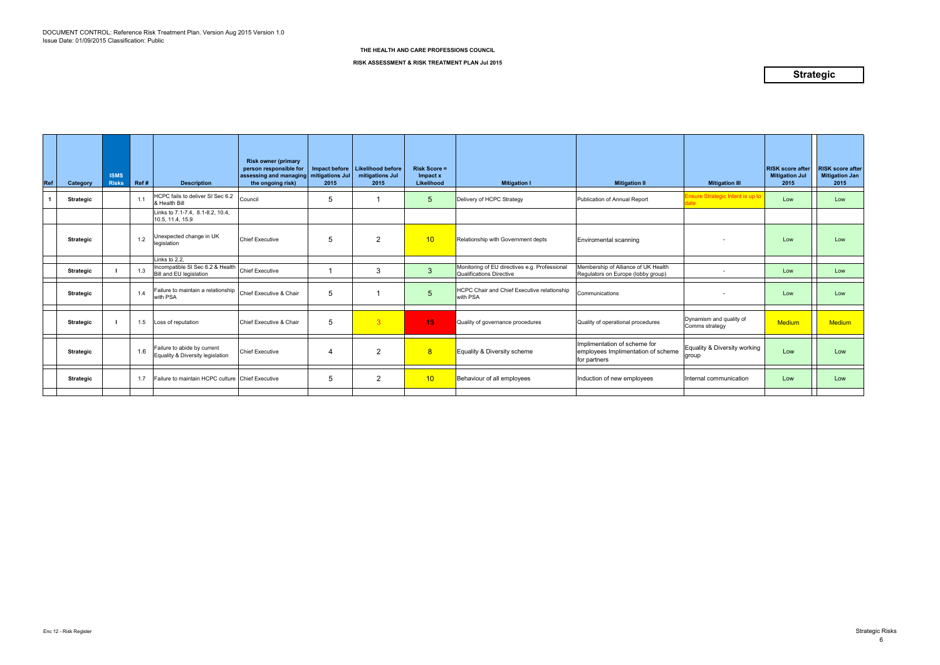| Ref | Category         | <b>ISMS</b><br><b>Risks</b> | Ref# | <b>Description</b>                                              | <b>Risk owner (primary</b><br>person responsible for<br>assessing and managing<br>the ongoing risk) | Impact before<br>mitigations Jul<br>2015 | <b>Likelihood before</b><br>mitigations Jul<br>2015 | <b>Risk Score =</b><br>Impact x<br>Likelihood | <b>Mitigation I</b>                                                       | <b>Mitigation II</b>                                                               | <b>Mitigation III</b>                     | <b>RISK score after</b><br><b>Mitigation Jul</b><br>2015 | <b>RISK score after</b><br><b>Mitigation Jan</b><br>2015 |
|-----|------------------|-----------------------------|------|-----------------------------------------------------------------|-----------------------------------------------------------------------------------------------------|------------------------------------------|-----------------------------------------------------|-----------------------------------------------|---------------------------------------------------------------------------|------------------------------------------------------------------------------------|-------------------------------------------|----------------------------------------------------------|----------------------------------------------------------|
|     | <b>Strategic</b> |                             | 1.1  | HCPC fails to deliver SI Sec 6.2<br>& Health Bill               | Council                                                                                             | 5                                        |                                                     | 5                                             | Delivery of HCPC Strategy                                                 | Publication of Annual Report                                                       | Ensure Strategic Intent is up to          | Low                                                      | Low                                                      |
|     |                  |                             |      | Links to 7.1-7.4, 8.1-8.2, 10.4,<br>10.5, 11.4, 15.9            |                                                                                                     |                                          |                                                     |                                               |                                                                           |                                                                                    |                                           |                                                          |                                                          |
|     | <b>Strategic</b> |                             | 1.2  | Unexpected change in UK<br>legislation                          | <b>Chief Executive</b>                                                                              | 5                                        | $\overline{2}$                                      | 10 <sup>°</sup>                               | Relationship with Government depts                                        | <b>Enviromental scanning</b>                                                       |                                           | Low                                                      | Low                                                      |
|     |                  |                             |      | Links to 2.2.                                                   |                                                                                                     |                                          |                                                     |                                               |                                                                           |                                                                                    |                                           |                                                          |                                                          |
|     | <b>Strategic</b> |                             | 1.3  | Incompatible SI Sec 6.2 & Health<br>Bill and EU legislation     | <b>Chief Executive</b>                                                                              |                                          | 3                                                   | 3                                             | Monitoring of EU directives e.g. Professional<br>Qualifications Directive | Membership of Alliance of UK Health<br>Regulators on Europe (lobby group)          |                                           | Low                                                      | Low                                                      |
|     | <b>Strategic</b> |                             | 1.4  | Failure to maintain a relationship<br>with PSA                  | Chief Executive & Chair                                                                             | 5                                        |                                                     | 5                                             | <b>HCPC Chair and Chief Executive relationship</b><br>with PSA            | Communications                                                                     |                                           | Low                                                      | Low                                                      |
|     | <b>Strategic</b> |                             | 1.5  | Loss of reputation                                              | Chief Executive & Chair                                                                             | 5                                        | $\overline{3}$                                      | 15                                            | Quality of governance procedures                                          | Quality of operational procedures                                                  | Dynamism and quality of<br>Comms strategy | Medium                                                   | <b>Medium</b>                                            |
|     | <b>Strategic</b> |                             | 1.6  | Failure to abide by current<br>Equality & Diversity legislation | <b>Chief Executive</b>                                                                              | 4                                        | $\overline{2}$                                      | 8                                             | Equality & Diversity scheme                                               | Implimentation of scheme for<br>employees Implimentation of scheme<br>for partners | Equality & Diversity working<br>group     | Low                                                      | Low                                                      |
|     | <b>Strategic</b> |                             | 1.7  | Failure to maintain HCPC culture Chief Executive                |                                                                                                     | 5                                        | $\overline{2}$                                      | 10 <sup>°</sup>                               | Behaviour of all employees                                                | Induction of new employees                                                         | Internal communication                    | Low                                                      | Low                                                      |
|     |                  |                             |      |                                                                 |                                                                                                     |                                          |                                                     |                                               |                                                                           |                                                                                    |                                           |                                                          |                                                          |

**RISK ASSESSMENT & RISK TREATMENT PLAN Jul 2015**

## **Strategic**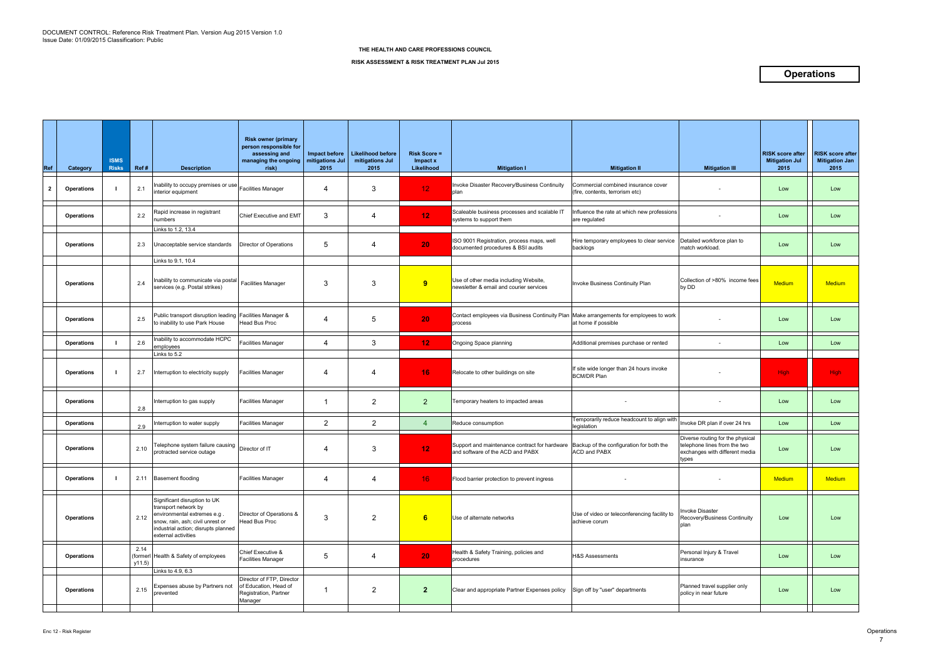| Ref          | Category          | <b>ISMS</b><br><b>Risks</b> | Ref#           | <b>Description</b>                                                                                                                                                                    | <b>Risk owner (primary</b><br>person responsible for<br>assessing and<br>managing the ongoing<br>risk) | Impact before<br>mitigations Jul<br>2015 | <b>Likelihood before</b><br>mitigations Jul<br>2015 | <b>Risk Score =</b><br>Impact x<br>Likelihood | <b>Mitigation I</b>                                                               | <b>Mitigation II</b>                                                   | <b>Mitigation III</b>                                                                                       | <b>RISK score after</b><br><b>Mitigation Jul</b><br>2015 | <b>RISK score after</b><br><b>Mitigation Jan</b><br>2015 |
|--------------|-------------------|-----------------------------|----------------|---------------------------------------------------------------------------------------------------------------------------------------------------------------------------------------|--------------------------------------------------------------------------------------------------------|------------------------------------------|-----------------------------------------------------|-----------------------------------------------|-----------------------------------------------------------------------------------|------------------------------------------------------------------------|-------------------------------------------------------------------------------------------------------------|----------------------------------------------------------|----------------------------------------------------------|
| $\mathbf{2}$ | <b>Operations</b> |                             | 2.1            | inability to occupy premises or use Facilities Manager<br>interior equipment                                                                                                          |                                                                                                        | 4                                        | 3                                                   | 12 <sub>1</sub>                               | Invoke Disaster Recovery/Business Continuity<br>plan                              | Commercial combined insurance cover<br>(fire, contents, terrorism etc) |                                                                                                             | Low                                                      | Low                                                      |
|              | <b>Operations</b> |                             | 2.2            | Rapid increase in registrant<br><b>umbers</b>                                                                                                                                         | Chief Executive and EMT                                                                                | 3                                        | 4                                                   | 12                                            | Scaleable business processes and scalable IT<br>systems to support them           | nfluence the rate at which new professions<br>are regulated            |                                                                                                             | Low                                                      | Low                                                      |
|              | <b>Operations</b> |                             | 2.3            | inks to 1.2, 13.4<br>Unacceptable service standards                                                                                                                                   | Director of Operations                                                                                 | 5                                        | 4                                                   | 20                                            | ISO 9001 Registration, process maps, well<br>documented procedures & BSI audits   | Hire temporary employees to clear service<br>backlogs                  | Detailed workforce plan to<br>match workload.                                                               | Low                                                      | Low                                                      |
|              | <b>Operations</b> |                             | 2.4            | Links to 9.1, 10.4<br>Inability to communicate via postal<br>services (e.g. Postal strikes)                                                                                           | <b>Facilities Manager</b>                                                                              | 3                                        | 3                                                   | 9                                             | Use of other media including Website,<br>newsletter & email and courier services  | Invoke Business Continuity Plan                                        | Collection of >80% income fees<br>by DD                                                                     | <b>Medium</b>                                            | <b>Medium</b>                                            |
|              | <b>Operations</b> |                             | 2.5            | Public transport disruption leading Facilities Manager &<br>to inability to use Park House                                                                                            | <b>Head Bus Proc</b>                                                                                   | 4                                        | 5                                                   | 20                                            | Contact employees via Business Continuity Plan<br>process                         | Make arrangements for employees to work<br>at home if possible         |                                                                                                             | Low                                                      | Low                                                      |
|              | <b>Operations</b> |                             | 2.6            | nability to accommodate HCPC<br>employees<br>Links to 5.2                                                                                                                             | <b>Facilities Manager</b>                                                                              | 4                                        | 3                                                   | 12 <sub>1</sub>                               | Ongoing Space planning                                                            | Additional premises purchase or rented                                 | $\sim$                                                                                                      | Low                                                      | Low                                                      |
|              | <b>Operations</b> |                             | 2.7            | Interruption to electricity supply                                                                                                                                                    | <b>Facilities Manager</b>                                                                              | 4                                        | 4                                                   | 16                                            | Relocate to other buildings on site                                               | If site wide longer than 24 hours invoke<br><b>BCM/DR Plan</b>         |                                                                                                             | <b>High</b>                                              | <b>High</b>                                              |
|              | <b>Operations</b> |                             | 2.8            | Interruption to gas supply                                                                                                                                                            | <b>Facilities Manager</b>                                                                              |                                          | $\overline{2}$                                      | 2 <sup>1</sup>                                | Temporary heaters to impacted areas                                               |                                                                        |                                                                                                             | Low                                                      | Low                                                      |
|              | <b>Operations</b> |                             | 2.9            | nterruption to water supply                                                                                                                                                           | <b>Facilities Manager</b>                                                                              | $\overline{2}$                           | $\overline{2}$                                      | 4                                             | Reduce consumption                                                                | Temporarily reduce headcount to align with<br>legislation              | Invoke DR plan if over 24 hrs                                                                               | Low                                                      | Low                                                      |
|              | <b>Operations</b> |                             | 2.10           | Telephone system failure causing<br>protracted service outage                                                                                                                         | Director of IT                                                                                         | 4                                        | 3                                                   | 12                                            | Support and maintenance contract for hardware<br>and software of the ACD and PABX | Backup of the configuration for both the<br><b>ACD and PABX</b>        | Diverse routing for the physical<br>telephone lines from the two<br>exchanges with different media<br>types | Low                                                      | Low                                                      |
|              | <b>Operations</b> |                             |                | 2.11 Basement flooding                                                                                                                                                                | <b>Facilities Manager</b>                                                                              | 4                                        | $\overline{4}$                                      | 16 <sup>°</sup>                               | Flood barrier protection to prevent ingress                                       |                                                                        |                                                                                                             | Medium                                                   | <b>Medium</b>                                            |
|              | <b>Operations</b> |                             | 2.12           | Significant disruption to UK<br>transport network by<br>environmental extremes e.g.<br>snow, rain, ash; civil unrest or<br>industrial action; disrupts planned<br>external activities | Director of Operations &<br>Head Bus Proc                                                              | 3                                        | $\overline{c}$                                      | 6                                             | Use of alternate networks                                                         | Use of video or teleconferencing facility to<br>achieve corum          | Invoke Disaster<br>Recovery/Business Continuity<br>plan                                                     | Low                                                      | Low                                                      |
|              | <b>Operations</b> |                             | 2.14<br>y11.5) | (formerl Health & Safety of employees                                                                                                                                                 | Chief Executive &<br><b>Facilities Manager</b>                                                         | 5                                        | 4                                                   | 20                                            | Health & Safety Training, policies and<br>procedures                              | <b>H&amp;S Assessments</b>                                             | Personal Injury & Travel<br>insurance                                                                       | Low                                                      | Low                                                      |
|              | <b>Operations</b> |                             | 2.15           | Links to 4.9, 6.3<br>Expenses abuse by Partners not<br>prevented                                                                                                                      | Director of FTP, Director<br>of Education, Head of<br>Registration, Partner<br>Manager                 |                                          | $\overline{2}$                                      | $\overline{2}$                                | Clear and appropriate Partner Expenses policy                                     | Sign off by "user" departments                                         | Planned travel supplier only<br>policy in near future                                                       | Low                                                      | Low                                                      |
|              |                   |                             |                |                                                                                                                                                                                       |                                                                                                        |                                          |                                                     |                                               |                                                                                   |                                                                        |                                                                                                             |                                                          |                                                          |

**RISK ASSESSMENT & RISK TREATMENT PLAN Jul 2015**

### **Operations**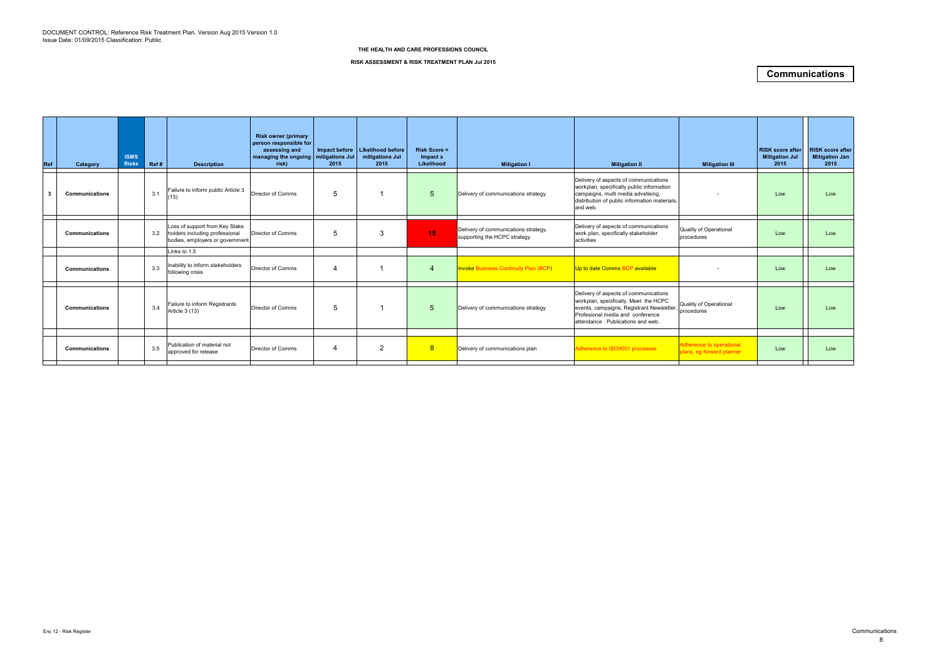| Ref | Category              | <b>ISMS</b><br><b>Risks</b> | Ref# | <b>Description</b>                                                                                  | <b>Risk owner (primary</b><br>person responsible for<br>assessing and<br>managing the ongoing   mitigations Jul<br>risk) | 2015 | Impact before   Likelihood before<br>mitigations Jul<br>2015 | <b>Risk Score =</b><br>Impact x<br>Likelihood | <b>Mitigation I</b>                                                  | <b>Mitigation II</b>                                                                                                                                                                                 | <b>Mitigation III</b>                                 | <b>RISK score after</b><br><b>Mitigation Jul</b><br>2015 | <b>RISK score after</b><br><b>Mitigation Jan</b><br>2015 |
|-----|-----------------------|-----------------------------|------|-----------------------------------------------------------------------------------------------------|--------------------------------------------------------------------------------------------------------------------------|------|--------------------------------------------------------------|-----------------------------------------------|----------------------------------------------------------------------|------------------------------------------------------------------------------------------------------------------------------------------------------------------------------------------------------|-------------------------------------------------------|----------------------------------------------------------|----------------------------------------------------------|
|     | <b>Communications</b> |                             | 3.1  | Failure to inform public Article 3<br>13)                                                           | Director of Comms                                                                                                        | 5    |                                                              | $\overline{5}$                                | Delivery of communications strategy.                                 | Delivery of aspects of communications<br>workplan, specifically public information<br>campaigns, multi media advetising,<br>distribution of public information materials,<br>and web.                |                                                       | Low                                                      | Low                                                      |
|     | <b>Communications</b> |                             | 3.2  | Loss of support from Key Stake<br>holders including professional<br>bodies, employers or government | Director of Comms                                                                                                        | 5    | 3                                                            | 15                                            | Delivery of communications strategy,<br>supporting the HCPC strategy | Delivery of aspects of communications<br>work plan, specifically stakeholder<br>activities                                                                                                           | Quality of Operational<br>procedures                  | Low                                                      | Low                                                      |
|     |                       |                             |      | inks to 1.5                                                                                         |                                                                                                                          |      |                                                              |                                               |                                                                      |                                                                                                                                                                                                      |                                                       |                                                          |                                                          |
|     | <b>Communications</b> |                             | 3.3  | Inability to inform stakeholders<br>following crisis                                                | Director of Comms                                                                                                        | 4    |                                                              | 4                                             | <b>Invoke Business Continuity Plan (BCP)</b>                         | Up to date Comms BCP available                                                                                                                                                                       |                                                       | Low                                                      | Low                                                      |
|     | <b>Communications</b> |                             | 3.4  | Failure to inform Registrants<br>Article 3 (13)                                                     | Director of Comms                                                                                                        | 5    |                                                              | 5                                             | Delivery of communications strategy                                  | Delivery of aspects of communications<br>workplan, specifically, Meet the HCPC<br>events, campaigns, Registrant Newsletter,<br>Profesional media and conference<br>attendance. Publications and web. | <b>Quality of Operational</b><br>procedures           | Low                                                      | Low                                                      |
|     |                       |                             |      |                                                                                                     |                                                                                                                          |      |                                                              |                                               |                                                                      |                                                                                                                                                                                                      |                                                       |                                                          |                                                          |
|     | <b>Communications</b> |                             | 3.5  | Publication of material not<br>approved for release                                                 | Director of Comms                                                                                                        | 4    | $\overline{2}$                                               | 8                                             | Delivery of communications plan                                      | Adherence to ISO9001 processes                                                                                                                                                                       | Adherence to operational<br>plans, eg forward planner | Low                                                      | Low                                                      |
|     |                       |                             |      |                                                                                                     |                                                                                                                          |      |                                                              |                                               |                                                                      |                                                                                                                                                                                                      |                                                       |                                                          |                                                          |

#### **RISK ASSESSMENT & RISK TREATMENT PLAN Jul 2015**

### **Communications**

#### **THE HEALTH AND CARE PROFESSIONS COUNCIL**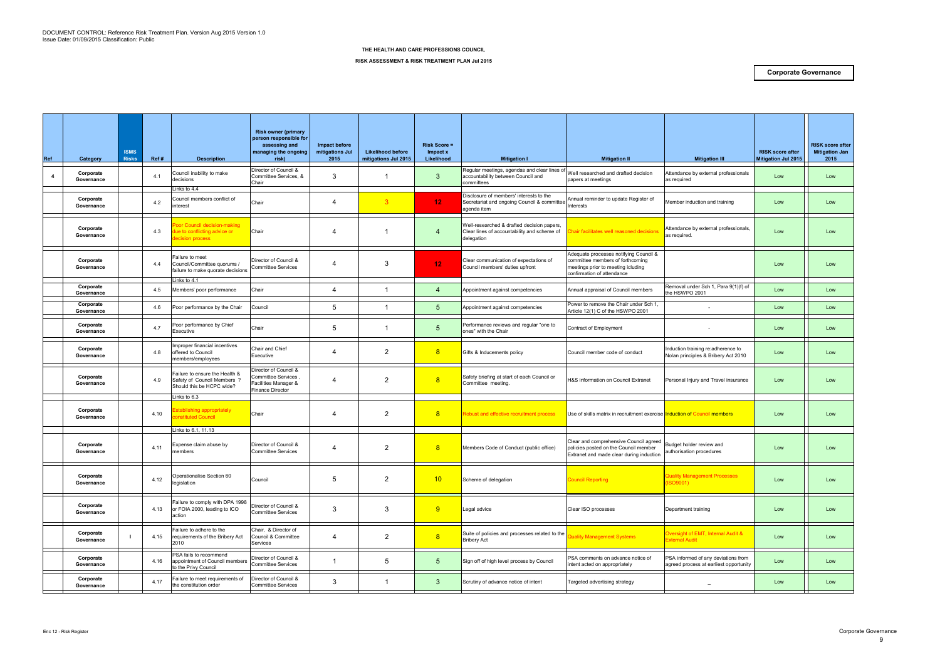| <b>Ref</b>     | Category                | <b>ISMS</b><br><b>Risks</b> | Ref# | <b>Description</b>                                                                                 | <b>Risk owner (primary</b><br>person responsible for<br>assessing and<br>managing the ongoing<br>risk) | Impact before<br>mitigations Jul<br>2015 | <b>Likelihood before</b><br>mitigations Jul 2015 | <b>Risk Score =</b><br>Impact x<br>Likelihood | <b>Mitigation I</b>                                                                                     | <b>Mitigation II</b>                                                                                                                           | <b>Mitigation III</b>                                                         | <b>RISK score after</b><br><b>Mitigation Jul 2015</b> | <b>RISK score after</b><br><b>Mitigation Jan</b><br>2015 |
|----------------|-------------------------|-----------------------------|------|----------------------------------------------------------------------------------------------------|--------------------------------------------------------------------------------------------------------|------------------------------------------|--------------------------------------------------|-----------------------------------------------|---------------------------------------------------------------------------------------------------------|------------------------------------------------------------------------------------------------------------------------------------------------|-------------------------------------------------------------------------------|-------------------------------------------------------|----------------------------------------------------------|
| $\overline{4}$ | Corporate<br>Governance |                             | 4.1  | Council inability to make<br>decisions<br>inks to 4.4                                              | Director of Council &<br>Committee Services, &<br>Chair                                                | 3                                        |                                                  | $\mathbf{3}$                                  | Regular meetings, agendas and clear lines o<br>accountability between Council and<br>committees         | Well researched and drafted decision<br>papers at meetings                                                                                     | Attendance by external professionals<br>as required                           | Low                                                   | Low                                                      |
|                | Corporate<br>Governance |                             | 4.2  | Council members conflict of<br>nterest                                                             | Chair                                                                                                  | 4                                        | 3                                                | 12 <sub>1</sub>                               | Disclosure of members' interests to the<br>Secretariat and ongoing Council & committee<br>agenda item   | Annual reminder to update Register of<br>nterests                                                                                              | Member induction and training                                                 | Low                                                   | Low                                                      |
|                | Corporate<br>Governance |                             | 4.3  | oor Council decision-making<br>lue to conflicting advice or<br>ecision process                     | Chair                                                                                                  |                                          |                                                  | $\boldsymbol{A}$                              | Well-researched & drafted decision papers,<br>Clear lines of accountability and scheme of<br>delegation | hair facilitates well reasoned decision                                                                                                        | Attendance by external professionals,<br>as required.                         | Low                                                   | Low                                                      |
|                | Corporate<br>Governance |                             | 4.4  | Failure to meet<br>Council/Committee quorums /<br>failure to make quorate decisions<br>inks to 4.1 | Director of Council &<br><b>Committee Services</b>                                                     |                                          | 3                                                | 12 <sub>1</sub>                               | Clear communication of expectations of<br>Council members' duties upfront                               | Adequate processes notifying Council &<br>committee members of forthcoming<br>meetings prior to meeting icluding<br>confirmation of attendance |                                                                               | Low                                                   | Low                                                      |
|                | Corporate<br>Governance |                             | 4.5  | Members' poor performance                                                                          | Chair                                                                                                  | 4                                        | -1                                               | $\overline{4}$                                | Appointment against competencies                                                                        | Annual appraisal of Council members                                                                                                            | Removal under Sch 1, Para 9(1)(f) of<br>the HSWPO 2001                        | Low                                                   | Low                                                      |
|                | Corporate<br>Governance |                             | 4.6  | Poor performance by the Chair                                                                      | Council                                                                                                | 5                                        |                                                  | 5                                             | Appointment against competencies                                                                        | Power to remove the Chair under Sch 1,<br>Article 12(1) C of the HSWPO 2001                                                                    |                                                                               | Low                                                   | Low                                                      |
|                | Corporate<br>Governance |                             | 4.7  | Poor performance by Chief<br>Executive                                                             | Chair                                                                                                  | 5                                        | -1                                               | 5                                             | Performance reviews and regular "one to<br>ones" with the Chair                                         | Contract of Employment                                                                                                                         |                                                                               | Low                                                   | Low                                                      |
|                | Corporate<br>Governance |                             | 4.8  | mproper financial incentives<br>offered to Council<br>members/employees                            | Chair and Chief<br>Executive                                                                           | 4                                        | $\overline{2}$                                   | 8                                             | Gifts & Inducements policy                                                                              | Council member code of conduct                                                                                                                 | Induction training re:adherence to<br>Nolan principles & Bribery Act 2010     | Low                                                   | Low                                                      |
|                | Corporate<br>Governance |                             | 4.9  | Failure to ensure the Health &<br>Safety of Council Members ?<br>Should this be HCPC wide?         | Director of Council &<br>Committee Services,<br>acilities Manager &<br>Finance Director                | 4                                        | $\overline{2}$                                   | 8                                             | Safety briefing at start of each Council or<br>Committee meeting.                                       | H&S information on Council Extranet                                                                                                            | Personal Injury and Travel insurance                                          | Low                                                   | Low                                                      |
|                | Corporate<br>Governance |                             | 4.10 | Links to 6.3<br>Establishing appropriately<br>:onstituted Council                                  | Chair                                                                                                  |                                          | $\overline{2}$                                   | 8                                             | Robust and effective recruitment process                                                                | Use of skills matrix in recruitment exercise Induction of Council members                                                                      |                                                                               | Low                                                   | Low                                                      |
|                | Corporate<br>Governance |                             | 4.11 | Links to 6.1, 11.13<br>Expense claim abuse by<br>nembers                                           | Director of Council &<br><b>Committee Services</b>                                                     | 4                                        | $\overline{2}$                                   | 8                                             | Members Code of Conduct (public office)                                                                 | Clear and comprehensive Council agreed<br>policies posted on the Council member<br>Extranet and made clear during induction                    | Budget holder review and<br>authorisation procedures                          | Low                                                   | Low                                                      |
|                | Corporate<br>Governance |                             | 4.12 | Operationalise Section 60<br>legislation                                                           | Council                                                                                                | 5                                        | $\overline{2}$                                   | 10                                            | Scheme of delegation                                                                                    | <b>Council Reporting</b>                                                                                                                       | <b>Quality Management Processes</b><br>(ISO9001)                              | Low                                                   | Low                                                      |
|                | Corporate<br>Governance |                             | 4.13 | Failure to comply with DPA 1998<br>or FOIA 2000, leading to ICO<br>action                          | Director of Council &<br><b>Committee Services</b>                                                     | $\mathbf{3}$                             | 3                                                | 9                                             | Legal advice                                                                                            | Clear ISO processes                                                                                                                            | Department training                                                           | Low                                                   | Low                                                      |
|                | Corporate<br>Governance |                             | 4.15 | Failure to adhere to the<br>requirements of the Bribery Act<br>2010                                | Chair, & Director of<br>Council & Committee<br>Services                                                | 4                                        | $\overline{2}$                                   | 8                                             | Suite of policies and processes related to the<br><b>Bribery Act</b>                                    | uality Management Systems                                                                                                                      | Oversight of EMT, Internal Audit &<br><b>External Audit</b>                   | Low                                                   | Low                                                      |
|                | Corporate<br>Governance |                             | 4.16 | PSA fails to recommend<br>appointment of Council members<br>to the Privy Council                   | Director of Council &<br><b>Committee Services</b>                                                     | -1                                       | $5\phantom{.0}$                                  | 5 <sub>5</sub>                                | Sign off of high level process by Council                                                               | PSA comments on advance notice of<br>intent acted on appropriately                                                                             | PSA informed of any deviations from<br>agreed process at earliest opportunity | Low                                                   | Low                                                      |
|                | Corporate<br>Governance |                             | 4.17 | Failure to meet requirements of<br>the constitution order                                          | Director of Council &<br>Committee Services                                                            | 3                                        | -1                                               | 3 <sup>1</sup>                                | Scrutiny of advance notice of intent                                                                    | Targeted advertising strategy                                                                                                                  | $\overline{\phantom{m}}$                                                      | Low                                                   | Low                                                      |

#### **RISK ASSESSMENT & RISK TREATMENT PLAN Jul 2015**

### **Corporate Governance**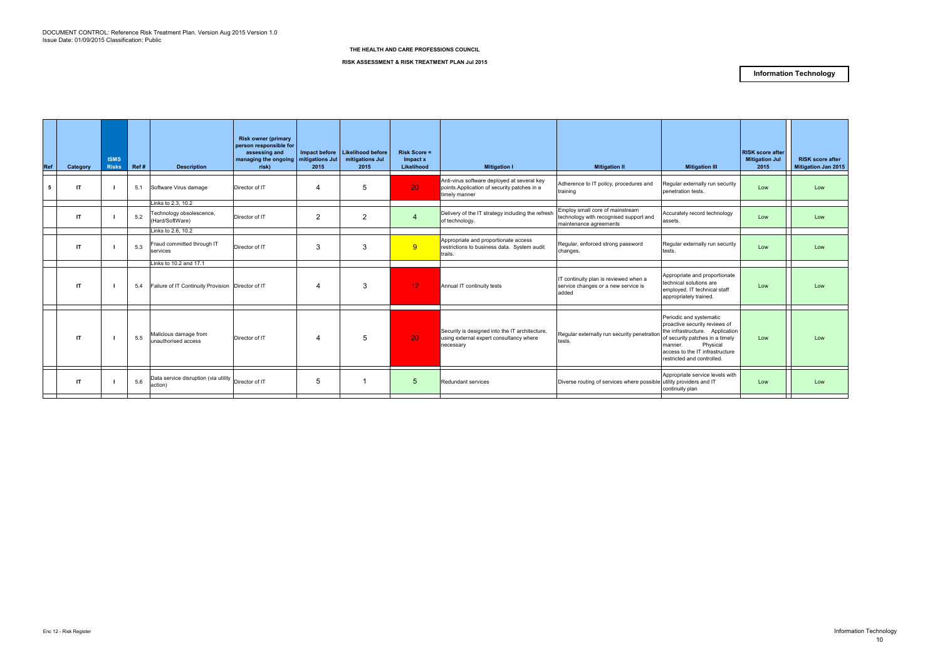| Ref | Category     | <b>ISMS</b><br><b>Risks</b> | Ref# | <b>Description</b>                                                | <b>Risk owner (primary</b><br>person responsible for<br>assessing and<br>managing the ongoing   mitigations Jul<br>risk) | 2015           | Impact before   Likelihood before<br>mitigations Jul<br>2015 | <b>Risk Score =</b><br>Impact x<br>Likelihood | <b>Mitigation I</b>                                                                                          | <b>Mitigation II</b>                                                                                | <b>Mitigation III</b>                                                                                                                                                                                                  | <b>RISK score after</b><br><b>Mitigation Jul</b><br>2015 | <b>RISK score after</b><br><b>Mitigation Jan 2015</b> |
|-----|--------------|-----------------------------|------|-------------------------------------------------------------------|--------------------------------------------------------------------------------------------------------------------------|----------------|--------------------------------------------------------------|-----------------------------------------------|--------------------------------------------------------------------------------------------------------------|-----------------------------------------------------------------------------------------------------|------------------------------------------------------------------------------------------------------------------------------------------------------------------------------------------------------------------------|----------------------------------------------------------|-------------------------------------------------------|
|     | IT           |                             | 5.1  | Software Virus damage                                             | Director of IT                                                                                                           | 4              | 5                                                            | 20 <sub>1</sub>                               | Anti-virus software deployed at several key<br>points. Application of security patches in a<br>timely manner | Adherence to IT policy, procedures and<br>training                                                  | Regular externally run security<br>benetration tests.                                                                                                                                                                  | Low                                                      | Low                                                   |
|     | $\mathsf{I}$ |                             | 5.2  | Links to 2.3, 10.2<br>Technology obsolescence,<br>(Hard/SoftWare) | Director of IT                                                                                                           | $\overline{2}$ | $\overline{2}$                                               |                                               | Delivery of the IT strategy including the refresh<br>of technology.                                          | Employ small core of mainstream<br>technology with recognised support and<br>maintenance agreements | Accurately record technology<br>assets.                                                                                                                                                                                | Low                                                      | Low                                                   |
|     | $\mathsf{I}$ |                             | 5.3  | Links to 2.6, 10.2<br>Fraud committed through IT<br>services      | Director of IT                                                                                                           | 3              | 3                                                            | 9                                             | Appropriate and proportionate access<br>restrictions to business data. System audit<br>trails.               | Regular, enforced strong password<br>changes.                                                       | Regular externally run security<br>tests.                                                                                                                                                                              | Low                                                      | Low                                                   |
|     |              |                             |      | Links to 10.2 and 17.1                                            |                                                                                                                          |                |                                                              |                                               |                                                                                                              |                                                                                                     |                                                                                                                                                                                                                        |                                                          |                                                       |
|     | -IT          |                             | 5.4  | Failure of IT Continuity Provision   Director of IT               |                                                                                                                          | 4              | 3                                                            | 12 <sub>1</sub>                               | Annual IT continuity tests                                                                                   | IT continuity plan is reviewed when a<br>service changes or a new service is<br>added               | Appropriate and proportionate<br>technical solutions are<br>employed. IT technical staff<br>appropriately trained.                                                                                                     | Low                                                      | Low                                                   |
|     | <b>IT</b>    |                             | 5.5  | Malicious damage from<br>unauthorised access                      | Director of IT                                                                                                           | 4              | 5                                                            | 20 <sub>1</sub>                               | Security is designed into the IT architecture,<br>using external expert consultancy where<br>necessary       | Regular externally run security penetration<br>tests.                                               | Periodic and systematic<br>proactive security reviews of<br>the infrastructure. Application<br>of security patches in a timely<br>Physical<br>manner.<br>access to the IT infrastructure<br>restricted and controlled. | Low                                                      | Low                                                   |
|     | $\mathsf{I}$ |                             | 5.6  | Data service disruption (via utility Director of IT<br>action)    |                                                                                                                          | 5              |                                                              | 5 <sup>5</sup>                                | Redundant services                                                                                           | Diverse routing of services where possible utility providers and IT                                 | Appropriate service levels with<br>continuity plan                                                                                                                                                                     | Low                                                      | Low                                                   |
|     |              |                             |      |                                                                   |                                                                                                                          |                |                                                              |                                               |                                                                                                              |                                                                                                     |                                                                                                                                                                                                                        |                                                          |                                                       |

**RISK ASSESSMENT & RISK TREATMENT PLAN Jul 2015**

### **Information Technology**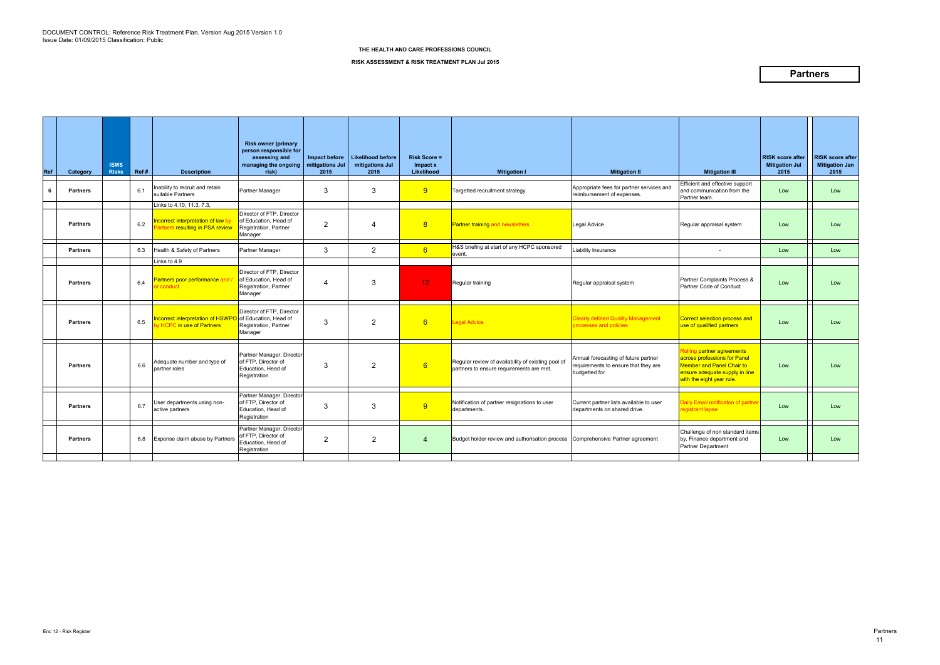| Ref | Category        | <b>ISMS</b><br><b>Risks</b> | Ref# | <b>Description</b>                                                                               | <b>Risk owner (primary</b><br>person responsible for<br>assessing and<br>managing the ongoing   mitigations Jul<br>risk) | Impact before<br>2015 | <b>Likelihood before</b><br>mitigations Jul<br>2015 | <b>Risk Score =</b><br>Impact x<br>Likelihood | <b>Mitigation I</b>                                                                            | <b>Mitigation II</b>                                                                           | <b>Mitigation III</b>                                                                                                                                         | <b>RISK score after</b><br><b>Mitigation Jul</b><br>2015 | <b>RISK score after</b><br><b>Mitigation Jan</b><br>2015 |
|-----|-----------------|-----------------------------|------|--------------------------------------------------------------------------------------------------|--------------------------------------------------------------------------------------------------------------------------|-----------------------|-----------------------------------------------------|-----------------------------------------------|------------------------------------------------------------------------------------------------|------------------------------------------------------------------------------------------------|---------------------------------------------------------------------------------------------------------------------------------------------------------------|----------------------------------------------------------|----------------------------------------------------------|
| 6   | <b>Partners</b> |                             | 6.1  | nability to recruit and retain<br>suitable Partners                                              | Partner Manager                                                                                                          | 3                     | 3                                                   | 9                                             | Targetted recruitment strategy.                                                                | Appropriate fees for partner services and<br>reimbursement of expenses.                        | Efficient and effective support<br>and communication from the<br>Partner team.                                                                                | Low                                                      | Low                                                      |
|     | <b>Partners</b> |                             | 6.2  | Links to 4.10, 11.3, 7.3,<br>ncorrect interpretation of law b<br>artners resulting in PSA review | Director of FTP, Director<br>of Education, Head of<br>Registration, Partner<br>Manager                                   | $\overline{2}$        | 4                                                   | 8                                             | Partner training and newsletters                                                               | Legal Advice                                                                                   | Regular appraisal system                                                                                                                                      | Low                                                      | Low                                                      |
|     | <b>Partners</b> |                             | 6.3  | Health & Safety of Partners                                                                      | Partner Manager                                                                                                          | 3                     | $\overline{2}$                                      | 6                                             | H&S briefing at start of any HCPC sponsored<br>event.                                          | Liability Insurance                                                                            |                                                                                                                                                               | Low                                                      | Low                                                      |
|     | <b>Partners</b> |                             | 6.4  | Links to 4.9<br>artners poor performance and<br>conduct                                          | Director of FTP, Director<br>of Education, Head of<br>Registration, Partner<br>Manager                                   | -4                    | 3                                                   | 12 <sub>1</sub>                               | Regular training                                                                               | Regular appraisal system                                                                       | Partner Complaints Process &<br>Partner Code of Conduct                                                                                                       | Low                                                      | Low                                                      |
|     | <b>Partners</b> |                             | 6.5  | ncorrect interpretation of HSWF<br>VHCPC in use of Partners                                      | Director of FTP, Director<br>of Education, Head of<br>Registration, Partner<br>Manager                                   | 3                     | $\overline{2}$                                      | 6                                             | <b>Legal Advice</b>                                                                            | <b>Clearly defined Quality Management</b><br>processes and policies                            | Correct selection process and<br>use of qualified partners                                                                                                    | Low                                                      | Low                                                      |
|     | <b>Partners</b> |                             | 6.6  | Adequate number and type of<br>partner roles                                                     | Partner Manager, Director<br>of FTP, Director of<br>Education, Head of<br>Registration                                   | 3                     | $\overline{2}$                                      | 6                                             | Regular review of availability of existing pool of<br>partners to ensure requirements are met. | Annual forecasting of future partner<br>requirements to ensure that they are<br>budgetted for. | <b>Rolling partner agreements</b><br>across professions for Panel<br>Member and Panel Chair to<br>ensure adequate supply in line<br>with the eight year rule. | Low                                                      | Low                                                      |
|     | <b>Partners</b> |                             | 6.7  | User departments using non-<br>active partners                                                   | Partner Manager, Director<br>of FTP, Director of<br>Education, Head of<br>Registration                                   | 3                     | 3                                                   | 9                                             | Notification of partner resignations to user<br>departments.                                   | Current partner lists available to user<br>departments on shared drive.                        | Daily Email notificaton of partne<br>registrant lapse                                                                                                         | Low                                                      | Low                                                      |
|     | <b>Partners</b> |                             | 6.8  | Expense claim abuse by Partners                                                                  | Partner Manager, Director<br>of FTP, Director of<br>Education, Head of<br>Registration                                   | $\overline{2}$        | $\overline{2}$                                      | $\overline{4}$                                | Budget holder review and authorisation process Comprehensive Partner agreement                 |                                                                                                | Challenge of non standard items<br>by, Finance department and<br>Partner Department                                                                           | Low                                                      | Low                                                      |
|     |                 |                             |      |                                                                                                  |                                                                                                                          |                       |                                                     |                                               |                                                                                                |                                                                                                |                                                                                                                                                               |                                                          |                                                          |

**RISK ASSESSMENT & RISK TREATMENT PLAN Jul 2015**

### **Partners**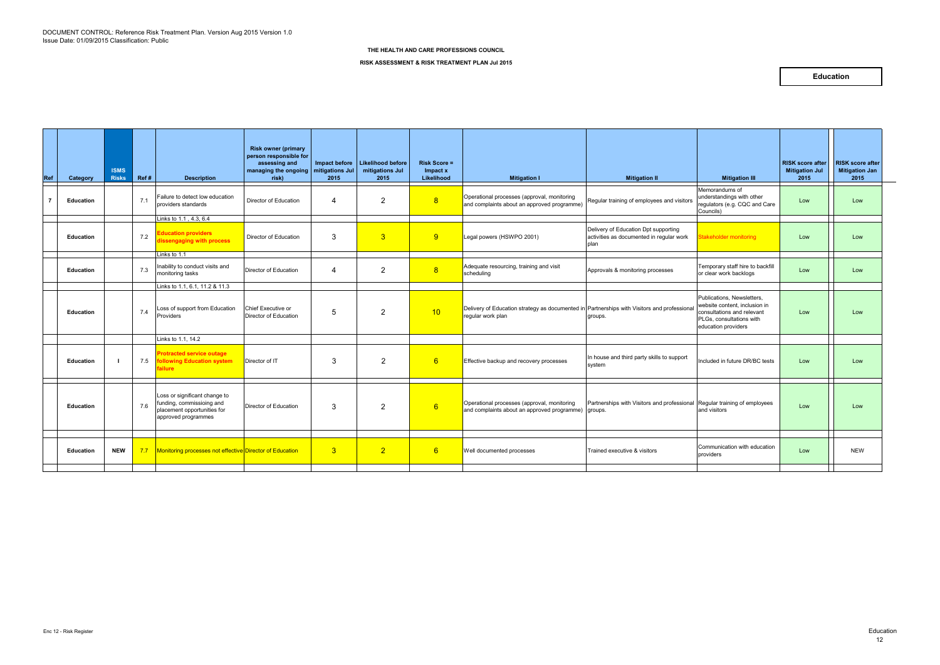| Ref | Category         | <b>ISMS</b><br><b>Risks</b> | Ref# | <b>Description</b>                                                                                               | <b>Risk owner (primary</b><br>person responsible for<br>assessing and<br>managing the ongoing   mitigations Jul<br>risk) | 2015           | Impact before   Likelihood before<br>mitigations Jul<br>2015 | <b>Risk Score =</b><br>Impact x<br>Likelihood | <b>Mitigation I</b>                                                                                              | <b>Mitigation II</b>                                                                     | <b>Mitigation III</b>                                                                                                                        | <b>RISK score after</b><br><b>Mitigation Jul</b><br>2015 | <b>RISK score after</b><br><b>Mitigation Jan</b><br>2015 |
|-----|------------------|-----------------------------|------|------------------------------------------------------------------------------------------------------------------|--------------------------------------------------------------------------------------------------------------------------|----------------|--------------------------------------------------------------|-----------------------------------------------|------------------------------------------------------------------------------------------------------------------|------------------------------------------------------------------------------------------|----------------------------------------------------------------------------------------------------------------------------------------------|----------------------------------------------------------|----------------------------------------------------------|
|     | <b>Education</b> |                             | 7.1  | Failure to detect low education<br>providers standards                                                           | Director of Education                                                                                                    | 4              | $\overline{2}$                                               | 8                                             | Operational processes (approval, monitoring<br>and complaints about an approved programme)                       | Regular training of employees and visitors                                               | Memorandums of<br>understandings with other<br>regulators (e.g. CQC and Care<br>Councils)                                                    | Low                                                      | Low                                                      |
|     | <b>Education</b> |                             | 7.2  | Links to 1.1, 4.3, 6.4<br><b>Education providers</b><br>dissengaging with process                                | Director of Education                                                                                                    | 3              | $\overline{3}$                                               | 9                                             | Legal powers (HSWPO 2001)                                                                                        | Delivery of Education Dpt supporting<br>activities as documented in regular work<br>plan | Stakeholder monitoring                                                                                                                       | Low                                                      | Low                                                      |
|     | <b>Education</b> |                             | 7.3  | Links to 1.1<br>Inability to conduct visits and<br>monitoring tasks                                              | Director of Education                                                                                                    | 4              | $\overline{2}$                                               | 8                                             | Adequate resourcing, training and visit<br>scheduling                                                            | Approvals & monitoring processes                                                         | Temporary staff hire to backfill<br>or clear work backlogs                                                                                   | Low                                                      | Low                                                      |
|     |                  |                             |      | Links to 1.1, 6.1, 11.2 & 11.3                                                                                   |                                                                                                                          |                |                                                              |                                               |                                                                                                                  |                                                                                          |                                                                                                                                              |                                                          |                                                          |
|     | <b>Education</b> |                             | 7.4  | Loss of support from Education<br>Providers                                                                      | Chief Executive or<br>Director of Education                                                                              | 5              | $\overline{2}$                                               | 10                                            | Delivery of Education strategy as documented in Partnerships with Visitors and professional<br>regular work plan | groups.                                                                                  | Publications, Newsletters,<br>website content, inclusion in<br>consultations and relevant<br>PLGs, consultations with<br>education providers | Low                                                      | Low                                                      |
|     |                  |                             |      | Links to 1.1, 14.2                                                                                               |                                                                                                                          |                |                                                              |                                               |                                                                                                                  |                                                                                          |                                                                                                                                              |                                                          |                                                          |
|     | <b>Education</b> |                             | 7.5  | <b>Protracted service outage</b><br><b>following Education system</b><br>failure                                 | Director of IT                                                                                                           | $\mathbf{3}$   | 2                                                            | 6                                             | Effective backup and recovery processes                                                                          | In house and third party skills to support<br>system                                     | Included in future DR/BC tests                                                                                                               | Low                                                      | Low                                                      |
|     | <b>Education</b> |                             | 7.6  | Loss or significant change to<br>funding, commissioing and<br>placement opportunities for<br>approved programmes | Director of Education                                                                                                    | 3              | $\overline{2}$                                               | 6                                             | Operational processes (approval, monitoring<br>and complaints about an approved programme) groups.               | Partnerships with Visitors and professional                                              | Regular training of employees<br>and visitors                                                                                                | Low                                                      | Low                                                      |
|     | <b>Education</b> | <b>NEW</b>                  |      | 7.7   Monitoring processes not effective Director of Education                                                   |                                                                                                                          | 3 <sup>2</sup> | $\overline{2}$                                               | 6                                             | Well documented processes                                                                                        | Trained executive & visitors                                                             | Communication with education<br>providers                                                                                                    | Low                                                      | <b>NEW</b>                                               |
|     |                  |                             |      |                                                                                                                  |                                                                                                                          |                |                                                              |                                               |                                                                                                                  |                                                                                          |                                                                                                                                              |                                                          |                                                          |
|     |                  |                             |      |                                                                                                                  |                                                                                                                          |                |                                                              |                                               |                                                                                                                  |                                                                                          |                                                                                                                                              |                                                          |                                                          |

**RISK ASSESSMENT & RISK TREATMENT PLAN Jul 2015**

### **Education**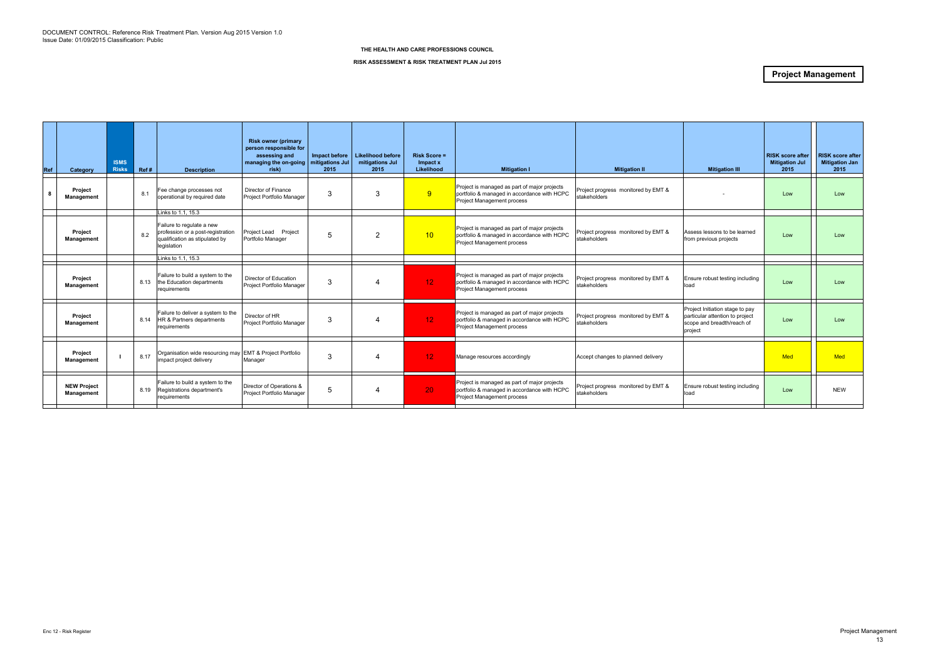| Category                                | <b>ISMS</b><br><b>Risks</b> | Ref# | <b>Description</b>       | <b>Risk owner (primary</b><br>person responsible for<br>assessing and<br>risk)                                                                                                                                                                                                                                                                                                                                                                                               | Impact before<br>2015                                                                                                                                                                             | mitigations Jul<br>2015                 | <b>Risk Score =</b><br>Impact x<br>Likelihood | <b>Mitigation I</b> | <b>Mitigation II</b>                                                                                                                                                                                                                                                                                                                                                                                                                                                                                                                                                                                                                                                          | <b>Mitigation III</b>                                                                                       | <b>Mitigation Jul</b><br>2015                             | <b>RISK score after</b><br><b>Mitigation Jan</b><br>2015 |
|-----------------------------------------|-----------------------------|------|--------------------------|------------------------------------------------------------------------------------------------------------------------------------------------------------------------------------------------------------------------------------------------------------------------------------------------------------------------------------------------------------------------------------------------------------------------------------------------------------------------------|---------------------------------------------------------------------------------------------------------------------------------------------------------------------------------------------------|-----------------------------------------|-----------------------------------------------|---------------------|-------------------------------------------------------------------------------------------------------------------------------------------------------------------------------------------------------------------------------------------------------------------------------------------------------------------------------------------------------------------------------------------------------------------------------------------------------------------------------------------------------------------------------------------------------------------------------------------------------------------------------------------------------------------------------|-------------------------------------------------------------------------------------------------------------|-----------------------------------------------------------|----------------------------------------------------------|
| Project<br>Management                   |                             | 8.1  | Fee change processes not | Director of Finance                                                                                                                                                                                                                                                                                                                                                                                                                                                          | 3                                                                                                                                                                                                 | 3                                       | 9                                             |                     | Project progress monitored by EMT &<br>stakeholders                                                                                                                                                                                                                                                                                                                                                                                                                                                                                                                                                                                                                           |                                                                                                             | Low                                                       | Low                                                      |
| Project<br>Management                   |                             | 8.2  |                          | Project Lead Project                                                                                                                                                                                                                                                                                                                                                                                                                                                         | 5                                                                                                                                                                                                 | 2                                       | 10 <sup>1</sup>                               |                     | Project progress monitored by EMT &<br>stakeholders                                                                                                                                                                                                                                                                                                                                                                                                                                                                                                                                                                                                                           | Assess lessons to be learned                                                                                | Low                                                       | Low                                                      |
|                                         |                             |      |                          |                                                                                                                                                                                                                                                                                                                                                                                                                                                                              |                                                                                                                                                                                                   |                                         |                                               |                     |                                                                                                                                                                                                                                                                                                                                                                                                                                                                                                                                                                                                                                                                               |                                                                                                             |                                                           |                                                          |
| <b>Project</b><br>Management            |                             | 8.13 |                          | Director of Education                                                                                                                                                                                                                                                                                                                                                                                                                                                        | 3                                                                                                                                                                                                 | 4                                       | 12 <sub>1</sub>                               |                     | Project progress monitored by EMT &<br>stakeholders                                                                                                                                                                                                                                                                                                                                                                                                                                                                                                                                                                                                                           | load                                                                                                        | Low                                                       | Low                                                      |
| Project<br>Management                   |                             | 8.14 |                          | Director of HR                                                                                                                                                                                                                                                                                                                                                                                                                                                               | 3                                                                                                                                                                                                 | 4                                       | 12 <sub>1</sub>                               |                     | Project progress monitored by EMT &<br>stakeholders                                                                                                                                                                                                                                                                                                                                                                                                                                                                                                                                                                                                                           | Project Initiation stage to pay<br>particular attention to project<br>scope and breadth/reach of<br>project | Low                                                       | Low                                                      |
| Project<br>Management                   |                             | 8.17 |                          | Manager                                                                                                                                                                                                                                                                                                                                                                                                                                                                      | 3                                                                                                                                                                                                 |                                         | 12 <sup>°</sup>                               |                     |                                                                                                                                                                                                                                                                                                                                                                                                                                                                                                                                                                                                                                                                               |                                                                                                             | <b>Med</b>                                                | <b>Med</b>                                               |
| <b>NEW Project</b><br><b>Management</b> |                             | 8.19 |                          | Director of Operations &                                                                                                                                                                                                                                                                                                                                                                                                                                                     | 5                                                                                                                                                                                                 |                                         | 20 <sub>1</sub>                               |                     | Project progress monitored by EMT &<br>stakeholders                                                                                                                                                                                                                                                                                                                                                                                                                                                                                                                                                                                                                           | Ensure robust testing including<br>load                                                                     | Low                                                       | <b>NEW</b>                                               |
|                                         |                             |      |                          | operational by required date<br>Links to 1.1, 15.3<br>Failure to regulate a new<br>profession or a post-registration<br>qualification as stipulated by<br>legislation<br>Links to 1.1, 15.3<br>Failure to build a system to the<br>the Education departments<br>requirements<br>Failure to deliver a system to the<br>HR & Partners departments<br>requirements<br>impact project delivery<br>Failure to build a system to the<br>Registrations department's<br>requirements | Project Portfolio Manager<br>Portfolio Manager<br>Project Portfolio Manager<br>Project Portfolio Manager<br>Organisation wide resourcing may EMT & Project Portfolio<br>Project Portfolio Manager | managing the on-going   mitigations Jul | <b>Likelihood before</b>                      |                     | Project is managed as part of major projects<br>portfolio & managed in accordance with HCPC<br>Project Management process<br>Project is managed as part of major projects<br>portfolio & managed in accordance with HCPC<br>Project Management process<br>Project is managed as part of major projects<br>portfolio & managed in accordance with HCPC<br>Project Management process<br>Project is managed as part of major projects<br>portfolio & managed in accordance with HCPC<br>Project Management process<br>Manage resources accordingly<br>Project is managed as part of major projects<br>portfolio & managed in accordance with HCPC<br>Project Management process | Accept changes to planned delivery                                                                          | from previous projects<br>Ensure robust testing including | <b>RISK score after</b><br>$\mathbf{1}$                  |

#### **RISK ASSESSMENT & RISK TREATMENT PLAN Jul 2015**

### **Project Management**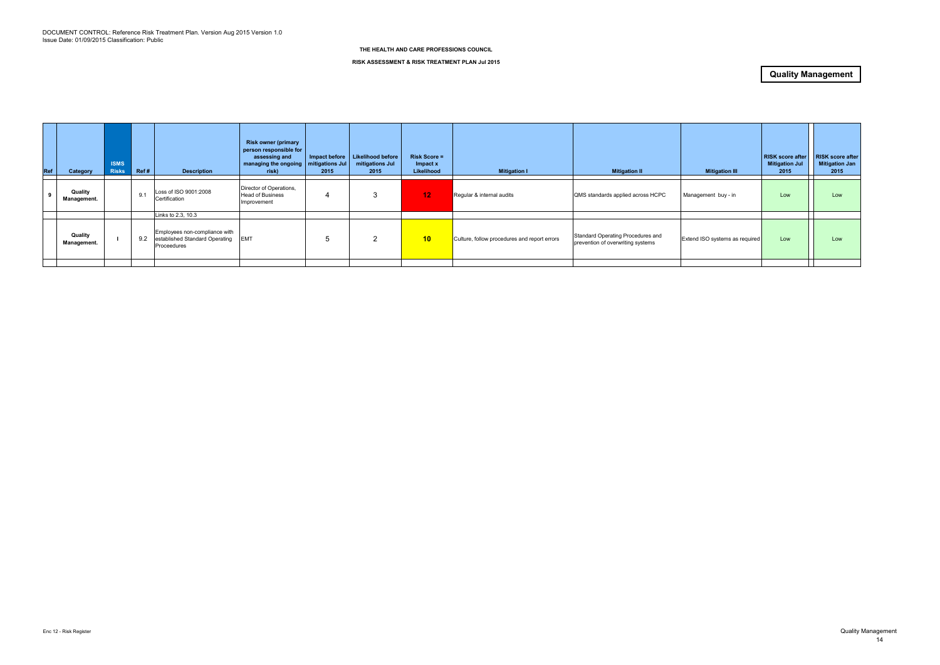| Ref | Category               | <b>ISMS</b><br><b>Risks</b> | Ref# | <b>Description</b>                                                             | <b>Risk owner (primary</b><br>person responsible for<br>assessing and<br>managing the ongoing   mitigations Jul<br>risk) | 2015 | Impact before   Likelihood before<br>mitigations Jul<br>2015 | <b>Risk Score =</b><br>Impact x<br>Likelihood | <b>Mitigation I</b>                          | <b>Mitigation II</b>                                                   | <b>Mitigation III</b>          | <b>RISK score after</b><br><b>Mitigation Jul</b><br>2015 | <b>RISK score after</b><br><b>Mitigation Jan</b><br>2015 |
|-----|------------------------|-----------------------------|------|--------------------------------------------------------------------------------|--------------------------------------------------------------------------------------------------------------------------|------|--------------------------------------------------------------|-----------------------------------------------|----------------------------------------------|------------------------------------------------------------------------|--------------------------------|----------------------------------------------------------|----------------------------------------------------------|
| -9  | Quality<br>Management. |                             | 9.1  | Loss of ISO 9001:2008<br>Certification                                         | Director of Operations,<br><b>Head of Business</b><br>Improvement                                                        |      | - 3                                                          | 12 <sub>1</sub>                               | Regular & internal audits                    | QMS standards applied across HCPC                                      | Management buy - in            | Low                                                      | Low                                                      |
|     |                        |                             |      | Links to 2.3, 10.3                                                             |                                                                                                                          |      |                                                              |                                               |                                              |                                                                        |                                |                                                          |                                                          |
|     | Quality<br>Management. |                             | 9.2  | Employees non-compliance with<br>established Standard Operating<br>Proceedures | <b>EMT</b>                                                                                                               |      | $\overline{2}$                                               | 10                                            | Culture, follow procedures and report errors | Standard Operating Procedures and<br>prevention of overwriting systems | Extend ISO systems as required | Low                                                      | Low                                                      |
|     |                        |                             |      |                                                                                |                                                                                                                          |      |                                                              |                                               |                                              |                                                                        |                                |                                                          |                                                          |

#### **RISK ASSESSMENT & RISK TREATMENT PLAN Jul 2015**

### **Quality Management**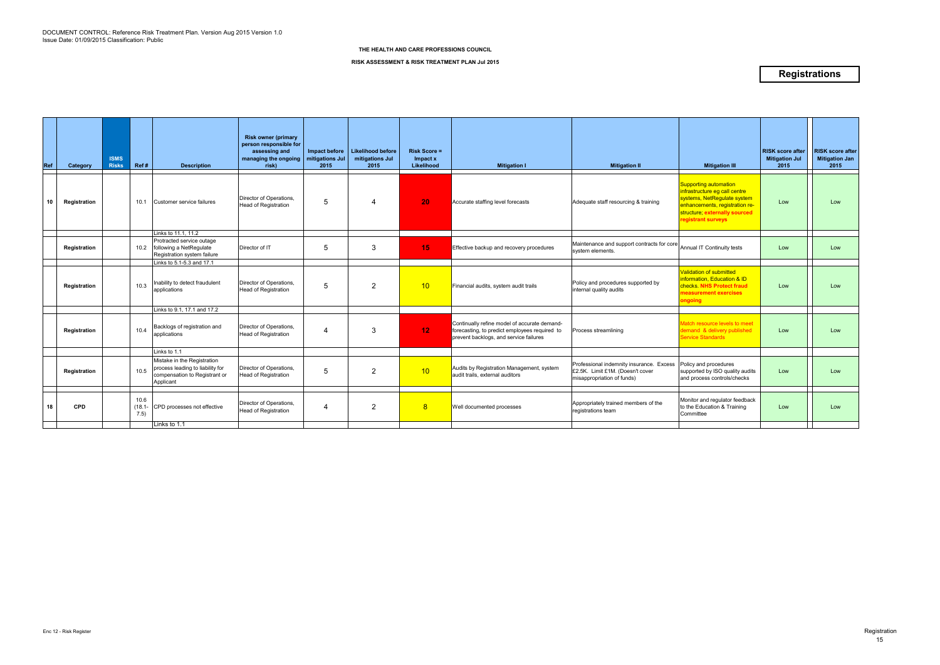| Ref | Category     | <b>ISMS</b><br><b>Risks</b> | Ref#                  | <b>Description</b>                                                                                            | <b>Risk owner (primary</b><br>person responsible for<br>assessing and<br>managing the ongoing<br>risk) | Impact before<br>mitigations Jul<br>2015 | <b>Likelihood before</b><br>mitigations Jul<br>2015 | <b>Risk Score =</b><br>Impact x<br>Likelihood | <b>Mitigation I</b>                                                                                                                     | <b>Mitigation II</b>                                                                                       | <b>Mitigation III</b>                                                                                                                                                          | <b>RISK score after</b><br><b>Mitigation Jul</b><br>2015 | <b>RISK score after</b><br><b>Mitigation Jan</b><br>2015 |
|-----|--------------|-----------------------------|-----------------------|---------------------------------------------------------------------------------------------------------------|--------------------------------------------------------------------------------------------------------|------------------------------------------|-----------------------------------------------------|-----------------------------------------------|-----------------------------------------------------------------------------------------------------------------------------------------|------------------------------------------------------------------------------------------------------------|--------------------------------------------------------------------------------------------------------------------------------------------------------------------------------|----------------------------------------------------------|----------------------------------------------------------|
| 10  | Registration |                             | 10.1                  | Customer service failures                                                                                     | Director of Operations.<br><b>Head of Registration</b>                                                 | 5                                        | 4                                                   | 20 <sub>1</sub>                               | Accurate staffing level forecasts                                                                                                       | Adequate staff resourcing & training                                                                       | Supporting automation<br>infrastructure eg call centre<br>systems, NetRegulate system<br>enhancements, registration re-<br>structure; externally sourced<br>registrant surveys | Low                                                      | Low                                                      |
|     |              |                             |                       | Links to 11.1, 11.2<br>Protracted service outage                                                              |                                                                                                        |                                          |                                                     |                                               |                                                                                                                                         |                                                                                                            |                                                                                                                                                                                |                                                          |                                                          |
|     | Registration |                             |                       | 10.2 following a NetRegulate<br>Registration system failure                                                   | Director of IT                                                                                         | 5                                        | 3                                                   | 15                                            | Effective backup and recovery procedures                                                                                                | Maintenance and support contracts for core<br>system elements.                                             | Annual IT Continuity tests                                                                                                                                                     | Low                                                      | Low                                                      |
|     |              |                             |                       | Links to 5.1-5.3 and 17.1                                                                                     |                                                                                                        |                                          |                                                     |                                               |                                                                                                                                         |                                                                                                            |                                                                                                                                                                                |                                                          |                                                          |
|     | Registration |                             | 10.3                  | Inability to detect fraudulent<br>applications                                                                | Director of Operations.<br><b>Head of Registration</b>                                                 | 5                                        | 2                                                   | 10 <sup>1</sup>                               | Financial audits, system audit trails                                                                                                   | Policy and procedures supported by<br>internal quality audits                                              | <b>Validation of submitted</b><br>information, Education & ID<br>checks. NHS Protect fraud<br>measurement exercises<br>ongoing                                                 | Low                                                      | Low                                                      |
|     |              |                             |                       | Links to 9.1, 17.1 and 17.2                                                                                   |                                                                                                        |                                          |                                                     |                                               |                                                                                                                                         |                                                                                                            |                                                                                                                                                                                |                                                          |                                                          |
|     | Registration |                             | 10.4                  | Backlogs of registration and<br>applications                                                                  | Director of Operations.<br><b>Head of Registration</b>                                                 | 4                                        | 3                                                   | 12 <sub>1</sub>                               | Continually refine model of accurate demand-<br>forecasting, to predict employees required to<br>prevent backlogs, and service failures | Process streamlining                                                                                       | latch resource levels to meet<br>emand & delivery published<br><b>Service Standards</b>                                                                                        | Low                                                      | Low                                                      |
|     |              |                             |                       | Links to 1.1                                                                                                  |                                                                                                        |                                          |                                                     |                                               |                                                                                                                                         |                                                                                                            |                                                                                                                                                                                |                                                          |                                                          |
|     | Registration |                             | 10.5                  | Mistake in the Registration<br>process leading to liability for<br>compensation to Registrant or<br>Applicant | Director of Operations,<br><b>Head of Registration</b>                                                 | 5                                        | 2                                                   | 10 <sup>°</sup>                               | Audits by Registration Management, system<br>audit trails, external auditors                                                            | Professional indemnity insurance. Excess<br>£2.5K. Limit £1M. (Doesn't cover<br>misappropriation of funds) | Policy and procedures<br>supported by ISO quality audits<br>and process controls/checks                                                                                        | Low                                                      | Low                                                      |
|     |              |                             |                       |                                                                                                               |                                                                                                        |                                          |                                                     |                                               |                                                                                                                                         |                                                                                                            |                                                                                                                                                                                |                                                          |                                                          |
| 18  | <b>CPD</b>   |                             | 10.6<br>(18.1<br>7.5) | CPD processes not effective                                                                                   | Director of Operations,<br><b>Head of Registration</b>                                                 | 4                                        | $\overline{2}$                                      | 8 <sup>°</sup>                                | Well documented processes                                                                                                               | Appropriately trained members of the<br>registrations team                                                 | Monitor and regulator feedback<br>to the Education & Training<br>Committee                                                                                                     | Low                                                      | Low                                                      |
|     |              |                             |                       | Links to 1.1                                                                                                  |                                                                                                        |                                          |                                                     |                                               |                                                                                                                                         |                                                                                                            |                                                                                                                                                                                |                                                          |                                                          |

**RISK ASSESSMENT & RISK TREATMENT PLAN Jul 2015**

### **Registrations**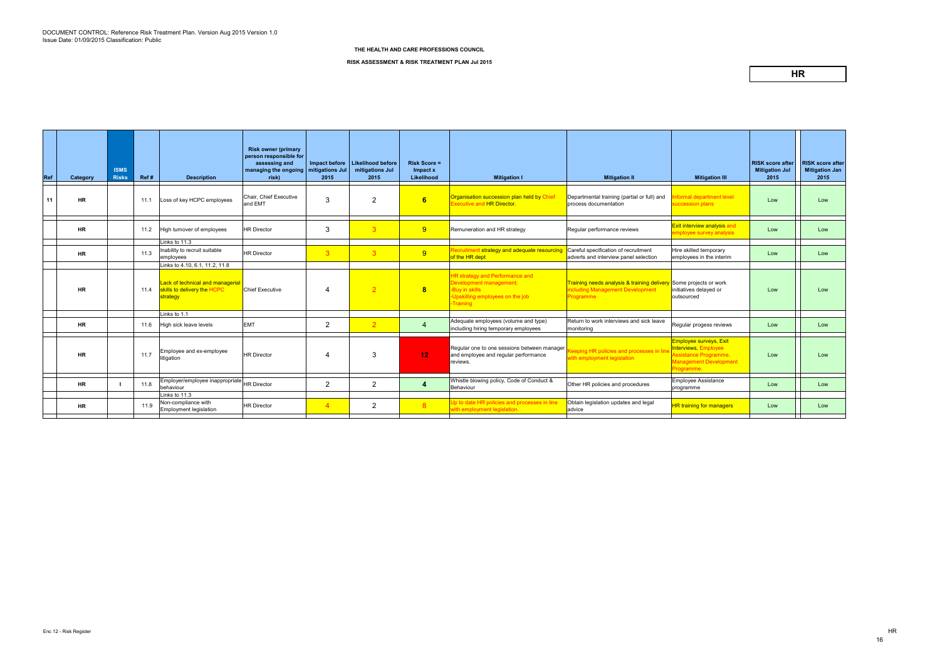| Ref | Category  | <b>ISMS</b><br><b>Risks</b> | Ref# | <b>Description</b>                                                                                            | <b>Risk owner (primary</b><br>person responsible for<br>assessing and<br>managing the ongoing   mitigations Jul<br>risk) | 2015           | Impact before   Likelihood before<br>mitigations Jul<br>2015 | <b>Risk Score =</b><br>Impact x<br>Likelihood | <b>Mitigation I</b>                                                                                                                  | <b>Mitigation II</b>                                                                                                          | <b>Mitigation III</b>                                                                                           | <b>RISK</b> score after<br><b>Mitigation Jul</b><br>2015 | <b>RISK score after</b><br><b>Mitigation Jan</b><br>2015 |
|-----|-----------|-----------------------------|------|---------------------------------------------------------------------------------------------------------------|--------------------------------------------------------------------------------------------------------------------------|----------------|--------------------------------------------------------------|-----------------------------------------------|--------------------------------------------------------------------------------------------------------------------------------------|-------------------------------------------------------------------------------------------------------------------------------|-----------------------------------------------------------------------------------------------------------------|----------------------------------------------------------|----------------------------------------------------------|
| 11  | <b>HR</b> |                             | 11.1 | Loss of key HCPC employees                                                                                    | Chair, Chief Executive<br>and EMT                                                                                        | 3              | 2                                                            | 6                                             | Organisation succession plan held by Chief<br><b>Executive and HR Director.</b>                                                      | Departmental training (partial or full) and<br>process documentation                                                          | <b>Iformal department level</b><br>succession plans                                                             | Low                                                      | Low                                                      |
|     | <b>HR</b> |                             | 11.2 | High turnover of employees                                                                                    | <b>HR Director</b>                                                                                                       | 3              | 3 <sup>°</sup>                                               | 9                                             | Remuneration and HR strategy                                                                                                         | Reqular performance reviews                                                                                                   | Exit interview analysis and<br>mployee survey analysis                                                          | Low                                                      | Low                                                      |
|     | <b>HR</b> |                             | 11.3 | Links to 11.3<br>Inability to recruit suitable<br>employees                                                   | <b>HR Director</b>                                                                                                       | $\mathbf{3}$   | 3 <sup>2</sup>                                               | 9                                             | Recruitment strategy and adequate resourcing<br>of the HR dept                                                                       | Careful specification of recruitment<br>adverts and interview panel selection                                                 | Hire skilled temporary<br>employees in the interim                                                              | Low                                                      | Low                                                      |
|     | <b>HR</b> |                             | 11.4 | Links to 4.10, 6.1, 11.2, 11.8<br>Lack of technical and managerial<br>skills to delivery the HCPC<br>strategy | <b>Chief Executive</b>                                                                                                   | $\overline{4}$ | $\overline{2}$                                               | $\overline{\mathbf{8}}$                       | <b>HR strategy and Performance and</b><br>Development management;<br>-Buy in skills<br>-Upskilling employees on the job<br>-Training | <b>Training needs analysis &amp; training delivery</b> Some projects or work<br>including Management Development<br>Programme | initiatives delayed or<br>outsourced                                                                            | Low                                                      | Low                                                      |
|     | <b>HR</b> |                             | 11.6 | Links to 1.1<br>High sick leave levels                                                                        | <b>EMT</b>                                                                                                               | $\overline{2}$ | $\overline{2}$                                               | $\overline{4}$                                | Adequate employees (volume and type)<br>including hiring temporary employees                                                         | Return to work interviews and sick leave<br>monitoring                                                                        | Regular progess reviews                                                                                         | Low                                                      | Low                                                      |
|     | <b>HR</b> |                             | 11.7 | Employee and ex-employee<br>litigation                                                                        | <b>HR Director</b>                                                                                                       | 4              | 3                                                            | 12 <sub>1</sub>                               | Regular one to one sessions between manager<br>and employee and regular performance<br>reviews.                                      | Keeping HR policies and processes in lin<br>with employment legislation                                                       | Employee surveys, Exit<br>Interviews, Employee<br>Assistance Programme,<br>Management Development<br>Programme. | Low                                                      | Low                                                      |
|     | <b>HR</b> |                             | 11.8 | Employer/employee inappropriate<br>behaviour<br>Links to 11.3                                                 | <b>HR Director</b>                                                                                                       | $\overline{2}$ | 2                                                            | 4                                             | Whistle blowing policy, Code of Conduct &<br>Behaviour                                                                               | Other HR policies and procedures                                                                                              | <b>Employee Assistance</b><br>programme                                                                         | Low                                                      | Low                                                      |
|     | <b>HR</b> |                             | 11.9 | Non-compliance with<br>Employment legislation                                                                 | <b>HR Director</b>                                                                                                       | $\overline{4}$ | $\overline{2}$                                               | 8 <sup>°</sup>                                | Up to date HR policies and processes in line<br>with employment legislation.                                                         | Obtain legislation updates and legal<br>advice                                                                                | <b>HR training for managers</b>                                                                                 | Low                                                      | Low                                                      |

#### **RISK ASSESSMENT & RISK TREATMENT PLAN Jul 2015**

### **HR**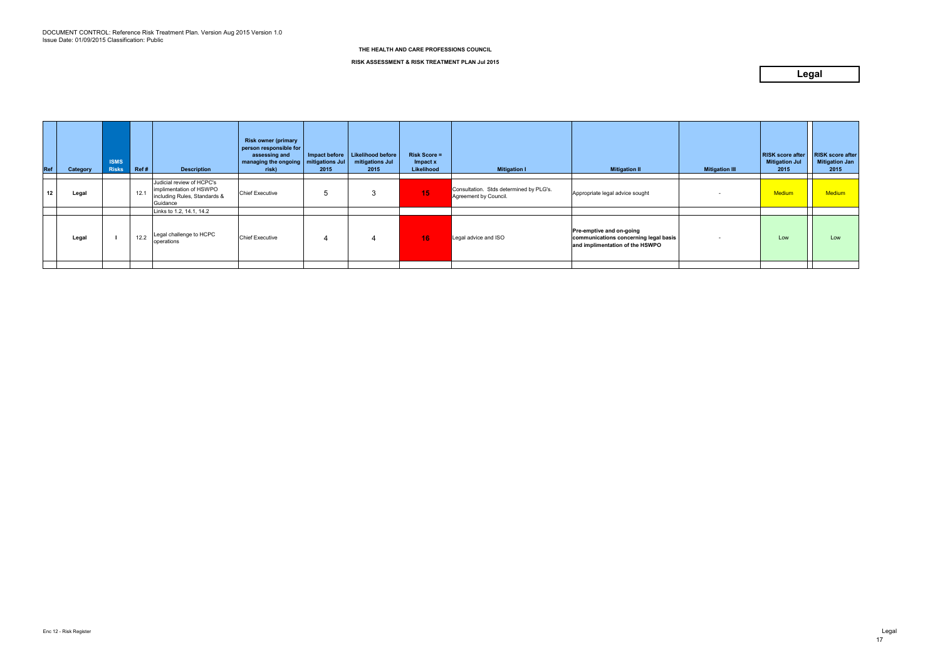| Ref | Category | <b>ISMS</b><br><b>Risks</b> | Ref# | <b>Description</b>                                                                               | <b>Risk owner (primary</b><br>person responsible for<br>assessing and<br>  managing the ongoing   mitigations Jul  <br>risk) | 2015 | Impact before   Likelihood before<br>mitigations Jul<br>2015 | <b>Risk Score =</b><br>Impact x<br>Likelihood | <b>Mitigation I</b>                                              | <b>Mitigation II</b>                                                                                        | <b>Mitigation III</b> | <b>RISK score after</b><br><b>Mitigation Jul</b><br>2015 | <b>RISK score after</b><br><b>Mitigation Jan</b><br>2015 |
|-----|----------|-----------------------------|------|--------------------------------------------------------------------------------------------------|------------------------------------------------------------------------------------------------------------------------------|------|--------------------------------------------------------------|-----------------------------------------------|------------------------------------------------------------------|-------------------------------------------------------------------------------------------------------------|-----------------------|----------------------------------------------------------|----------------------------------------------------------|
| 12  | Legal    |                             | 12.1 | Judicial review of HCPC's<br>implimentation of HSWPO<br>including Rules, Standards &<br>Guidance | <b>Chief Executive</b>                                                                                                       |      |                                                              | 15                                            | Consultation. Stds determined by PLG's.<br>Agreement by Council. | Appropriate legal advice sought                                                                             |                       | <b>Medium</b>                                            | <b>Medium</b>                                            |
|     |          |                             |      | Links to 1.2, 14.1, 14.2                                                                         |                                                                                                                              |      |                                                              |                                               |                                                                  |                                                                                                             |                       |                                                          |                                                          |
|     | Legal    |                             | 12.2 | Legal challenge to HCPC<br>operations                                                            | <b>Chief Executive</b>                                                                                                       |      | 4                                                            | 16 <sub>1</sub>                               | Legal advice and ISO                                             | <b>Pre-emptive and on-going</b><br>communications concerning legal basis<br>and implimentation of the HSWPO |                       | Low                                                      | Low                                                      |
|     |          |                             |      |                                                                                                  |                                                                                                                              |      |                                                              |                                               |                                                                  |                                                                                                             |                       |                                                          |                                                          |

**RISK ASSESSMENT & RISK TREATMENT PLAN Jul 2015**

### **Legal**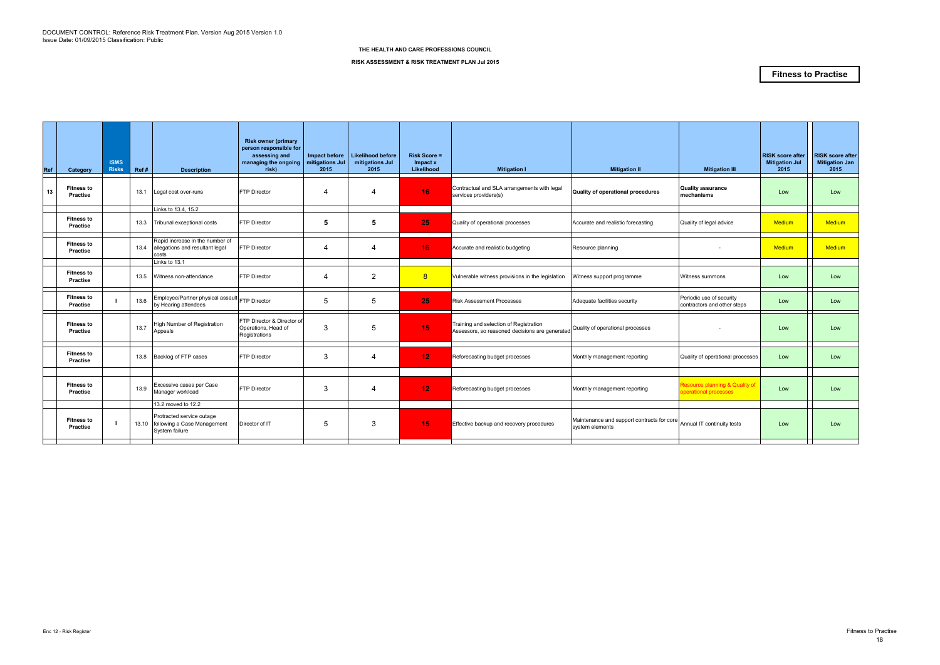| Ref | Category                             | <b>ISMS</b><br><b>Risks</b> | Ref# | <b>Description</b>                                                               | <b>Risk owner (primary</b><br>person responsible for<br>assessing and<br>managing the ongoing<br>risk) | Impact before<br>mitigations Jul<br>2015 | <b>Likelihood before</b><br>mitigations Jul<br>2015 | $Risk Score =$<br>Impact x<br>Likelihood | <b>Mitigation I</b>                                                                      | <b>Mitigation II</b>                                          | <b>Mitigation III</b>                                             | <b>RISK score after</b><br><b>Mitigation Jul</b><br>2015 | <b>RISK score after</b><br><b>Mitigation Jan</b><br>2015 |
|-----|--------------------------------------|-----------------------------|------|----------------------------------------------------------------------------------|--------------------------------------------------------------------------------------------------------|------------------------------------------|-----------------------------------------------------|------------------------------------------|------------------------------------------------------------------------------------------|---------------------------------------------------------------|-------------------------------------------------------------------|----------------------------------------------------------|----------------------------------------------------------|
| 13  | <b>Fitness to</b><br>Practise        |                             |      | 13.1 Legal cost over-runs                                                        | <b>FTP Director</b>                                                                                    | $\boldsymbol{4}$                         | 4                                                   | 16                                       | Contractual and SLA arrangements with legal<br>services providers(s)                     | Quality of operational procedures                             | <b>Quality assurance</b><br>mechanisms                            | Low                                                      | Low                                                      |
|     |                                      |                             |      | Links to 13.4, 15.2                                                              |                                                                                                        |                                          |                                                     |                                          |                                                                                          |                                                               |                                                                   |                                                          |                                                          |
|     | <b>Fitness to</b><br>Practise        |                             |      | 13.3 Tribunal exceptional costs                                                  | FTP Director                                                                                           | 5                                        | 5                                                   | 25                                       | Quality of operational processes                                                         | Accurate and realistic forecasting                            | Quality of legal advice                                           | Medium                                                   | <b>Medium</b>                                            |
|     | <b>Fitness to</b><br>Practise        |                             |      | Rapid increase in the number of<br>13.4 allegations and resultant legal<br>costs | FTP Director                                                                                           | 4                                        | 4                                                   | 16 <sup>°</sup>                          | Accurate and realistic budgeting                                                         | Resource planning                                             |                                                                   | Medium                                                   | <b>Medium</b>                                            |
|     |                                      |                             |      | Links to 13.1                                                                    |                                                                                                        |                                          |                                                     |                                          |                                                                                          |                                                               |                                                                   |                                                          |                                                          |
|     | <b>Fitness to</b><br><b>Practise</b> |                             |      | 13.5 Witness non-attendance                                                      | FTP Director                                                                                           | 4                                        | $\overline{2}$                                      | 8                                        | Vulnerable witness provisions in the legislation                                         | Witness support programme                                     | Witness summons                                                   | Low                                                      | Low                                                      |
|     | <b>Fitness to</b><br>Practise        |                             | 13.6 | Employee/Partner physical assault FTP Director<br>by Hearing attendees           |                                                                                                        | 5                                        | 5                                                   | 25                                       | <b>Risk Assessment Processes</b>                                                         | Adequate facilities security                                  | Periodic use of security<br>contractors and other steps           | Low                                                      | Low                                                      |
|     | <b>Fitness to</b><br><b>Practise</b> |                             | 13.7 | High Number of Registration<br>Appeals                                           | FTP Director & Director of<br>Operations, Head of<br>Registrations                                     | 3                                        | 5                                                   | 15                                       | Training and selection of Registration<br>Assessors, so reasoned decisions are generated | Quality of operational processes                              |                                                                   | Low                                                      | Low                                                      |
|     | <b>Fitness to</b><br>Practise        |                             |      | 13.8 Backlog of FTP cases                                                        | <b>FTP Director</b>                                                                                    | 3                                        | 4                                                   | 12 <sub>1</sub>                          | Reforecasting budget processes                                                           | Monthly management reporting                                  | Quality of operational processes                                  | Low                                                      | Low                                                      |
|     |                                      |                             |      |                                                                                  |                                                                                                        |                                          |                                                     |                                          |                                                                                          |                                                               |                                                                   |                                                          |                                                          |
|     | <b>Fitness to</b><br>Practise        |                             | 13.9 | Excessive cases per Case<br>Manager workload                                     | <b>FTP Director</b>                                                                                    | 3                                        | 4                                                   | 12 <sub>2</sub>                          | Reforecasting budget processes                                                           | Monthly management reporting                                  | <b>Resource planning &amp; Quality of</b><br>perational processes | Low                                                      | Low                                                      |
|     |                                      |                             |      | 13.2 moved to 12.2                                                               |                                                                                                        |                                          |                                                     |                                          |                                                                                          |                                                               |                                                                   |                                                          |                                                          |
|     | <b>Fitness to</b><br>Practise        |                             |      | Protracted service outage<br>13.10 following a Case Management<br>System failure | Director of IT                                                                                         | 5                                        | 3                                                   | 15                                       | Effective backup and recovery procedures                                                 | Maintenance and support contracts for core<br>system elements | Annual IT continuity tests                                        | Low                                                      | Low                                                      |
|     |                                      |                             |      |                                                                                  |                                                                                                        |                                          |                                                     |                                          |                                                                                          |                                                               |                                                                   |                                                          |                                                          |

**RISK ASSESSMENT & RISK TREATMENT PLAN Jul 2015**

### **Fitness to Practise**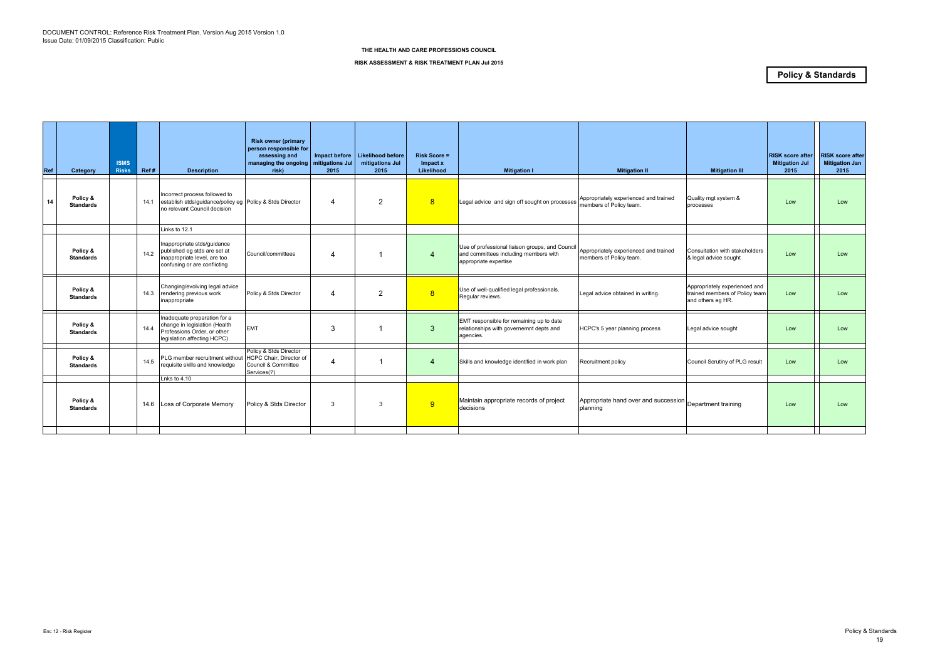| Ref | Category                     | <b>ISMS</b><br><b>Risks</b> | Ref# | <b>Description</b>                                                                                                          | <b>Risk owner (primary</b><br>person responsible for<br>assessing and<br>managing the ongoing<br>risk) | mitigations Jul<br>2015 | Impact before   Likelihood before<br>mitigations Jul<br>2015 | <b>Risk Score =</b><br>Impact x<br>Likelihood | <b>Mitigation I</b>                                                                                               | <b>Mitigation II</b>                                                 | <b>Mitigation III</b>                                                                | <b>RISK score after</b><br><b>Mitigation Jul</b><br>2015 | <b>RISK score after</b><br><b>Mitigation Jan</b><br>2015 |
|-----|------------------------------|-----------------------------|------|-----------------------------------------------------------------------------------------------------------------------------|--------------------------------------------------------------------------------------------------------|-------------------------|--------------------------------------------------------------|-----------------------------------------------|-------------------------------------------------------------------------------------------------------------------|----------------------------------------------------------------------|--------------------------------------------------------------------------------------|----------------------------------------------------------|----------------------------------------------------------|
| 14  | Policy &<br><b>Standards</b> |                             | 14.1 | Incorrect process followed to<br>establish stds/guidance/policy eg Policy & Stds Director<br>no relevant Council decision   |                                                                                                        | 4                       | $\overline{2}$                                               | 8                                             | Legal advice and sign off sought on processes Appropriately experienced and trained                               |                                                                      | Quality mgt system &<br>processes                                                    | Low                                                      | Low                                                      |
|     |                              |                             |      | Links to 12.1                                                                                                               |                                                                                                        |                         |                                                              |                                               |                                                                                                                   |                                                                      |                                                                                      |                                                          |                                                          |
|     | Policy &<br><b>Standards</b> |                             | 14.2 | Inappropriate stds/quidance<br>published eg stds are set at<br>inappropriate level, are too<br>confusing or are conflicting | Council/committees                                                                                     | 4                       |                                                              | $\overline{4}$                                | Use of professional liaison groups, and Council<br>and committees including members with<br>appropriate expertise | Appropriately experienced and trained<br>members of Policy team.     | Consultation with stakeholders<br>& legal advice sought                              | Low                                                      | Low                                                      |
|     | Policy &<br><b>Standards</b> |                             | 14.3 | Changing/evolving legal advice<br>rendering previous work<br>inappropriate                                                  | Policy & Stds Director                                                                                 | 4                       | $\overline{2}$                                               | 8                                             | Use of well-qualified legal professionals.<br>Regular reviews.                                                    | Legal advice obtained in writing.                                    | Appropriately experienced and<br>trained members of Policy team<br>and others eg HR. | Low                                                      | Low                                                      |
|     | Policy &<br><b>Standards</b> |                             | 14.4 | Inadequate preparation for a<br>change in legislation (Health<br>Professions Order, or other<br>legislation affecting HCPC) | <b>EMT</b>                                                                                             | 3                       |                                                              | 3                                             | EMT responsible for remaining up to date<br>relationships with governemnt depts and<br>agencies.                  | HCPC's 5 year planning process                                       | Legal advice sought                                                                  | Low                                                      | Low                                                      |
|     | Policy &<br><b>Standards</b> |                             | 14.5 | PLG member recruitment without<br>requisite skills and knowledge                                                            | Policy & Stds Director<br>HCPC Chair, Director of<br>Council & Committee<br>Services(?)                | $\overline{\mathbf{4}}$ |                                                              | $\overline{4}$                                | Skills and knowledge identified in work plan                                                                      | Recruitment policy                                                   | Council Scrutiny of PLG result                                                       | Low                                                      | Low                                                      |
|     |                              |                             |      | Lnks to $4.10$                                                                                                              |                                                                                                        |                         |                                                              |                                               |                                                                                                                   |                                                                      |                                                                                      |                                                          |                                                          |
|     | Policy &<br><b>Standards</b> |                             |      | 14.6 Loss of Corporate Memory                                                                                               | Policy & Stds Director                                                                                 | 3                       | -3                                                           | 9                                             | Maintain appropriate records of project<br>decisions                                                              | Appropriate hand over and succession Department training<br>planning |                                                                                      | Low                                                      | Low                                                      |
|     |                              |                             |      |                                                                                                                             |                                                                                                        |                         |                                                              |                                               |                                                                                                                   |                                                                      |                                                                                      |                                                          |                                                          |

**RISK ASSESSMENT & RISK TREATMENT PLAN Jul 2015**

### **Policy & Standards**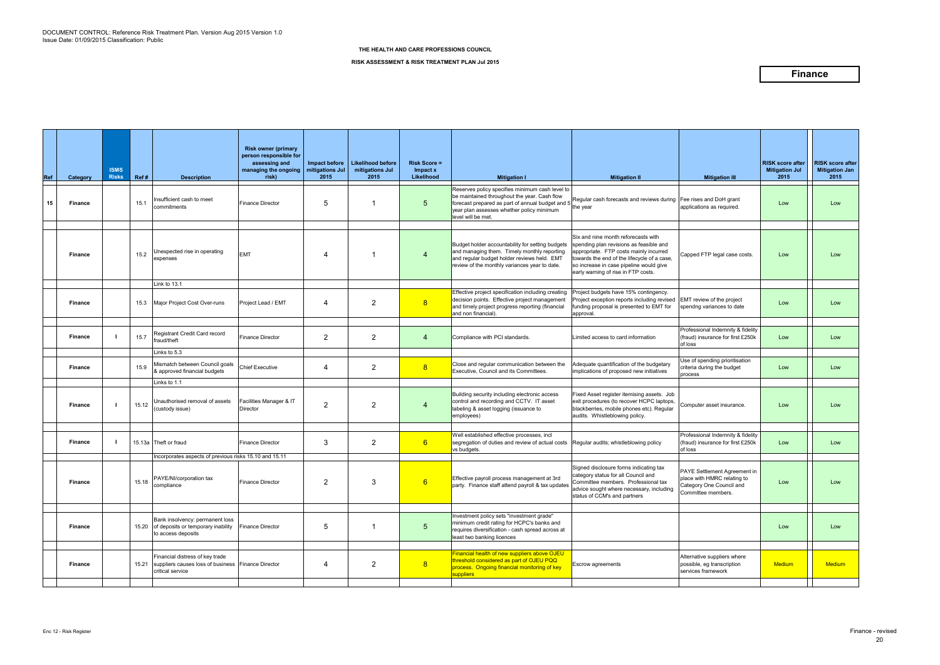| Ref | Category       | <b>ISMS</b><br><b>Risks</b> | Ref#  | <b>Description</b>                                                                                              | <b>Risk owner (primary</b><br>person responsible for<br>assessing and<br>managing the ongoing $\vert$ mitigations Jul<br>risk) | Impact before<br>2015 | <b>Likelihood before</b><br>mitigations Jul<br>2015 | <b>Risk Score =</b><br>Impact x<br>Likelihood | <b>Mitigation I</b>                                                                                                                                                                                                             | <b>Mitigation II</b>                                                                                                                                                                                                                                      | <b>Mitigation III</b>                                                                                         | <b>RISK score after</b><br><b>Mitigation Jul</b><br>2015 | <b>RISK score after</b><br><b>Mitigation Jan</b><br>2015 |
|-----|----------------|-----------------------------|-------|-----------------------------------------------------------------------------------------------------------------|--------------------------------------------------------------------------------------------------------------------------------|-----------------------|-----------------------------------------------------|-----------------------------------------------|---------------------------------------------------------------------------------------------------------------------------------------------------------------------------------------------------------------------------------|-----------------------------------------------------------------------------------------------------------------------------------------------------------------------------------------------------------------------------------------------------------|---------------------------------------------------------------------------------------------------------------|----------------------------------------------------------|----------------------------------------------------------|
| 15  | <b>Finance</b> |                             | 15.1  | nsufficient cash to meet<br>commitments                                                                         | <b>Finance Director</b>                                                                                                        | 5                     | -1                                                  | 5 <sup>5</sup>                                | Reserves policy specifies minimum cash level to<br>be maintained throughout the year. Cash flow<br>forecast prepared as part of annual budget and 5 the year<br>year plan assesses whether policy minimum<br>level will be met. | Regular cash forecasts and reviews during                                                                                                                                                                                                                 | Fee rises and DoH grant<br>applications as required.                                                          | Low                                                      | Low                                                      |
|     | <b>Finance</b> |                             | 15.2  | Inexpected rise in operating<br>expenses                                                                        | <b>EMT</b>                                                                                                                     | 4                     |                                                     | $\overline{4}$                                | Budget holder accountability for setting budgets<br>and managing them. Timely monthly reporting<br>and regular budget holder reviews held. EMT<br>review of the monthly variances year to date.                                 | Six and nine month reforecasts with<br>spending plan revisions as feasible and<br>appropriate. FTP costs mainly incurred<br>towards the end of the lifecycle of a case,<br>so increase in case pipeline would give<br>early warning of rise in FTP costs. | Capped FTP legal case costs.                                                                                  | Low                                                      | Low                                                      |
|     | <b>Finance</b> |                             |       | Link to 13.1<br>15.3 Major Project Cost Over-runs                                                               | Project Lead / EMT                                                                                                             | 4                     | $\mathbf{2}$                                        | 8                                             | Effective project specification including creating<br>decision points. Effective project management<br>and timely project progress reporting (financial<br>and non financial).                                                  | Project budgets have 15% contingency.<br>Project exception reports including revised<br>funding proposal is presented to EMT for<br>approval.                                                                                                             | EMT review of the project<br>spendng variances to date                                                        | Low                                                      | Low                                                      |
|     | <b>Finance</b> |                             | 15.7  | Registrant Credit Card record<br>fraud/theft                                                                    | <b>Finance Director</b>                                                                                                        | 2                     | $\mathbf{2}$                                        | $\overline{4}$                                | Compliance with PCI standards.                                                                                                                                                                                                  | Limited access to card information                                                                                                                                                                                                                        | Professional Indemnity & fidelity<br>(fraud) insurance for first £250k<br>of loss                             | Low                                                      | Low                                                      |
|     | <b>Finance</b> |                             | 15.9  | Links to $5.3$<br>Mismatch between Council goals<br>& approved financial budgets                                | <b>Chief Executive</b>                                                                                                         | 4                     | $\mathbf{2}$                                        | 8                                             | Close and regular communication between the<br>Executive, Council and its Committees.                                                                                                                                           | Adequate quantification of the budgetary<br>implications of proposed new initiatives                                                                                                                                                                      | Use of spending prioritisation<br>criteria during the budget<br>process                                       | Low                                                      | Low                                                      |
|     | <b>Finance</b> |                             | 15.12 | Links to 1.1<br>Inauthorised removal of assets<br>(custody issue)                                               | Facilities Manager & IT<br><b>Director</b>                                                                                     | 2                     | $\overline{2}$                                      | 4                                             | Building security including electronic access<br>control and recording and CCTV. IT asset<br>labeling & asset logging (issuance to<br>employees)                                                                                | Fixed Asset register itemising assets. Job<br>exit procedures (to recover HCPC laptops,<br>blackberries, mobile phones etc). Regular<br>audits. Whistleblowing policy.                                                                                    | Computer asset insurance.                                                                                     | Low                                                      | Low                                                      |
|     | <b>Finance</b> |                             |       | 15.13a Theft or fraud<br>Incorporates aspects of previous risks 15.10 and 15.11                                 | <b>Finance Director</b>                                                                                                        | 3                     | $\overline{2}$                                      | $6^{\circ}$                                   | Well established effective processes, incl<br>segregation of duties and review of actual costs<br>vs budgets.                                                                                                                   | Regular audits; whistleblowing policy                                                                                                                                                                                                                     | Professional Indemnity & fidelity<br>(fraud) insurance for first £250k<br>of loss                             | Low                                                      | Low                                                      |
|     | <b>Finance</b> |                             |       | 15.18 PAYE/NI/corporation tax<br>compliance                                                                     | <b>Finance Director</b>                                                                                                        | 2                     | $\mathbf{3}$                                        | $6 -$                                         | Effective payroll process management at 3rd<br>party. Finance staff attend payroll & tax updates                                                                                                                                | Signed disclosure forms indicating tax<br>category status for all Council and<br>Committee members. Professional tax<br>advice sought where necessary, including<br>status of CCM's and partners                                                          | PAYE Settlement Agreement in<br>place with HMRC relating to<br>Category One Council and<br>Committee members. | Low                                                      | Low                                                      |
|     | <b>Finance</b> |                             |       | Bank insolvency: permanent loss<br>15.20 of deposits or temporary inability<br>to access deposits               | <b>Finance Director</b>                                                                                                        | 5                     | -1                                                  | 5 <sup>5</sup>                                | Investment policy sets "investment grade"<br>minimum credit rating for HCPC's banks and<br>requires diversification - cash spread across at<br>least two banking licences                                                       |                                                                                                                                                                                                                                                           |                                                                                                               | Low                                                      | Low                                                      |
|     | <b>Finance</b> |                             |       | Financial distress of key trade<br>15.21 suppliers causes loss of business Finance Director<br>critical service |                                                                                                                                | 4                     | $\overline{2}$                                      | 8 <sup>1</sup>                                | Financial health of new suppliers above OJEU<br>threshold considered as part of OJEU PQQ<br>process. Ongoing financial monitoring of key<br>suppliers                                                                           | Escrow agreements                                                                                                                                                                                                                                         | Alternative suppliers where<br>possible, eg transcription<br>services framework                               | <b>Medium</b>                                            | Medium                                                   |

#### **RISK ASSESSMENT & RISK TREATMENT PLAN Jul 2015**

### **Finance**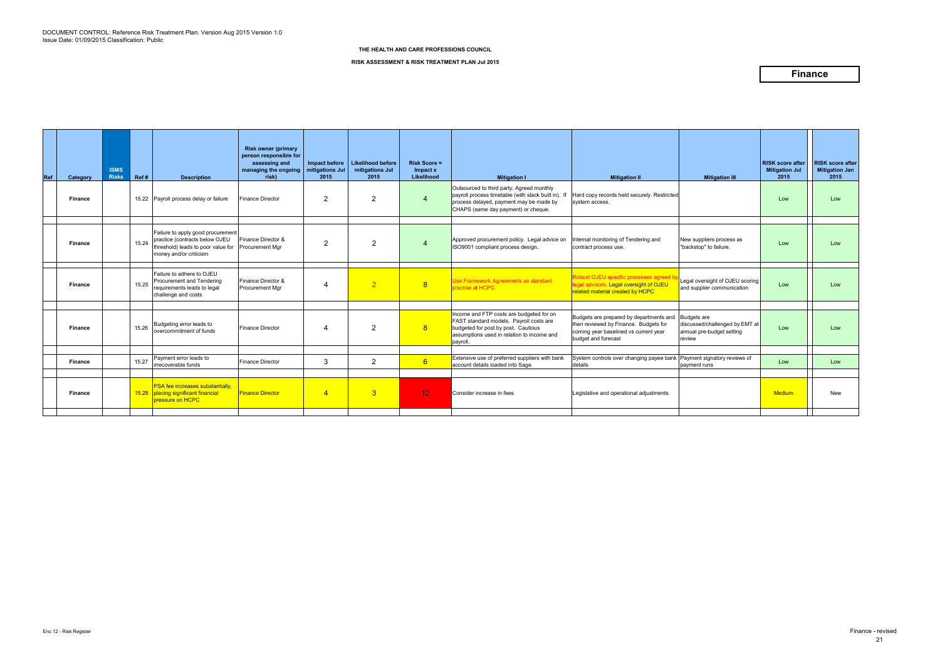#### **RISK ASSESSMENT & RISK TREATMENT PLAN Jul 2015**

### **Finance**

| <b>Ref</b> | Category       | <b>ISMS</b><br><b>Risks</b> | Ref#  | <b>Description</b>                                                                                                                  | <b>Risk owner (primary</b><br>person responsible for<br>assessing and<br>managing the ongoing   mitigations Jul<br>risk) | Impact before<br>2015 | <b>Likelihood before</b><br>mitigations Jul<br>2015 | <b>Risk Score =</b><br>Impact x<br>Likelihood | <b>Mitigation I</b>                                                                                                                                                                  | <b>Mitigation II</b>                                                                                                                             | <b>Mitigation III</b>                                                                       | <b>RISK score after</b><br><b>Mitigation Jul</b><br>2015 | <b>RISK score after</b><br><b>Mitigation Jan</b><br>2015 |
|------------|----------------|-----------------------------|-------|-------------------------------------------------------------------------------------------------------------------------------------|--------------------------------------------------------------------------------------------------------------------------|-----------------------|-----------------------------------------------------|-----------------------------------------------|--------------------------------------------------------------------------------------------------------------------------------------------------------------------------------------|--------------------------------------------------------------------------------------------------------------------------------------------------|---------------------------------------------------------------------------------------------|----------------------------------------------------------|----------------------------------------------------------|
|            | Finance        |                             |       | 15.22 Payroll process delay or failure                                                                                              | <b>Finance Director</b>                                                                                                  | 2                     | $\overline{2}$                                      | $\overline{4}$                                | Outsourced to third party. Agreed monthly<br>payroll process timetable (with slack built in). If<br>process delayed, payment may be made by<br>CHAPS (same day payment) or cheque.   | Hard copy records held securely. Restricted<br>system access.                                                                                    |                                                                                             | Low                                                      | Low                                                      |
|            | <b>Finance</b> |                             | 15.24 | Failure to apply good procurement<br>practice (contracts below OJEU<br>threshold) leads to poor value for<br>money and/or criticism | Finance Director &<br>Procurement Mgr                                                                                    | $\overline{2}$        | 2                                                   | $\overline{4}$                                | Approved procurement policy. Legal advice on<br>ISO9001 compliant process design.                                                                                                    | Internal monitoring of Tendering and<br>contract process use.                                                                                    | New suppliers process as<br>"backstop" to failure.                                          | Low                                                      | Low                                                      |
|            | <b>Finance</b> |                             | 15.25 | Failure to adhere to OJEU<br>Procurement and Tendering<br>requirements leads to legal<br>challenge and costs                        | Finance Director &<br>Procurement Mgr                                                                                    | 4                     | $\overline{2}$                                      | 8                                             | Use Framework Agreements as standard<br>oractise at HCPC                                                                                                                             | Robust OJEU specific processes agreed<br>legal advisors. Legal oversight of OJEU<br>related material created by HCPC                             | Legal oversight of OJEU scoring<br>and supplier communication                               | Low                                                      | Low                                                      |
|            | Finance        |                             | 15.26 | Budgeting error leads to<br>overcommitment of funds                                                                                 | <b>Finance Director</b>                                                                                                  | 4                     | 2                                                   | 8                                             | Income and FTP costs are budgeted for on<br>FAST standard models. Payroll costs are<br>budgeted for post by post. Cautious<br>assumptions used in relation to income and<br>payroll. | Budgets are prepared by departments and<br>then reviewed by Finance. Budgets for<br>coming year baselined vs current year<br>budget and forecast | <b>Budgets</b> are<br>discussed/challenged by EMT at<br>annual pre-budget setting<br>review | Low                                                      | Low                                                      |
|            | Finance        |                             | 15.27 | Payment error leads to<br>irrecoverable funds                                                                                       | <b>Finance Director</b>                                                                                                  | 3                     | $\overline{2}$                                      | 6                                             | Extensive use of preferred suppliers with bank<br>account details loaded into Sage.                                                                                                  | System controls over changing payee bank Payment signatory reviews of<br>details                                                                 | payment runs                                                                                | Low                                                      | Low                                                      |
|            | <b>Finance</b> |                             |       | <b>PSA</b> fee increases substantially,<br>15.28 placing significant financial<br>pressure on HCPC                                  | <b>Finance Director</b>                                                                                                  | $\overline{4}$        | 3 <sup>°</sup>                                      | 12 <sub>1</sub>                               | Consider increase in fees                                                                                                                                                            | Legislative and operational adjustments                                                                                                          |                                                                                             | <b>Medium</b>                                            | <b>New</b>                                               |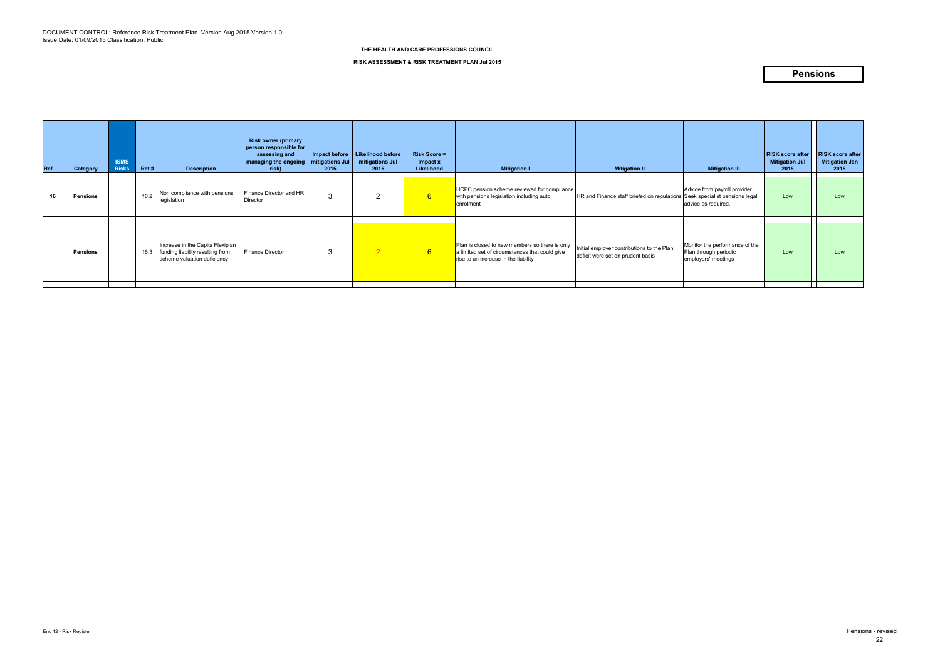| Ref | Category        | <b>ISMS</b><br><b>Risks</b> | Ref# | <b>Description</b>                                                                                  | <b>Risk owner (primary</b><br>person responsible for<br>assessing and<br>managing the ongoing<br>risk) | Impact before<br>mitigations Jul<br>2015 | Likelihood before<br>mitigations Jul<br>2015 | <b>Risk Score =</b><br>Impact x<br>Likelihood | <b>Mitigation I</b>                                                                                                                      | <b>Mitigation II</b>                                                            | <b>Mitigation III</b>                                                          | <b>RISK score after</b><br><b>Mitigation Jul</b><br>2015 | <b>RISK score after</b><br><b>Mitigation Jan</b><br>2015 |
|-----|-----------------|-----------------------------|------|-----------------------------------------------------------------------------------------------------|--------------------------------------------------------------------------------------------------------|------------------------------------------|----------------------------------------------|-----------------------------------------------|------------------------------------------------------------------------------------------------------------------------------------------|---------------------------------------------------------------------------------|--------------------------------------------------------------------------------|----------------------------------------------------------|----------------------------------------------------------|
|     | <b>Pensions</b> |                             | 16.2 | Non compliance with pensions<br>legislation                                                         | Finance Director and HR<br>Director                                                                    | 3                                        |                                              | $6^{\circ}$                                   | HCPC pension scheme reviewed for compliance<br>with pensions legislation including auto<br>enrolment                                     | HR and Finance staff briefed on regulations Seek specialist pensions legal      | Advice from payroll provider.<br>advice as required.                           | Low                                                      | Low                                                      |
|     |                 |                             |      |                                                                                                     |                                                                                                        |                                          |                                              |                                               |                                                                                                                                          |                                                                                 |                                                                                |                                                          |                                                          |
|     | <b>Pensions</b> |                             | 16.3 | Increase in the Capita Flexiplan<br>funding liability resulting from<br>scheme valuation deficiency | <b>Finance Director</b>                                                                                | 3                                        | $\overline{2}$                               | $6^{\circ}$                                   | Plan is closed to new members so there is only<br>a limited set of circumstances that could give<br>rise to an increase in the liability | Initial employer contributions to the Plan<br>deficit were set on prudent basis | Monitor the performance of the<br>Plan through periodic<br>employers' meetings | Low                                                      | Low                                                      |

#### **RISK ASSESSMENT & RISK TREATMENT PLAN Jul 2015**

### **Pensions**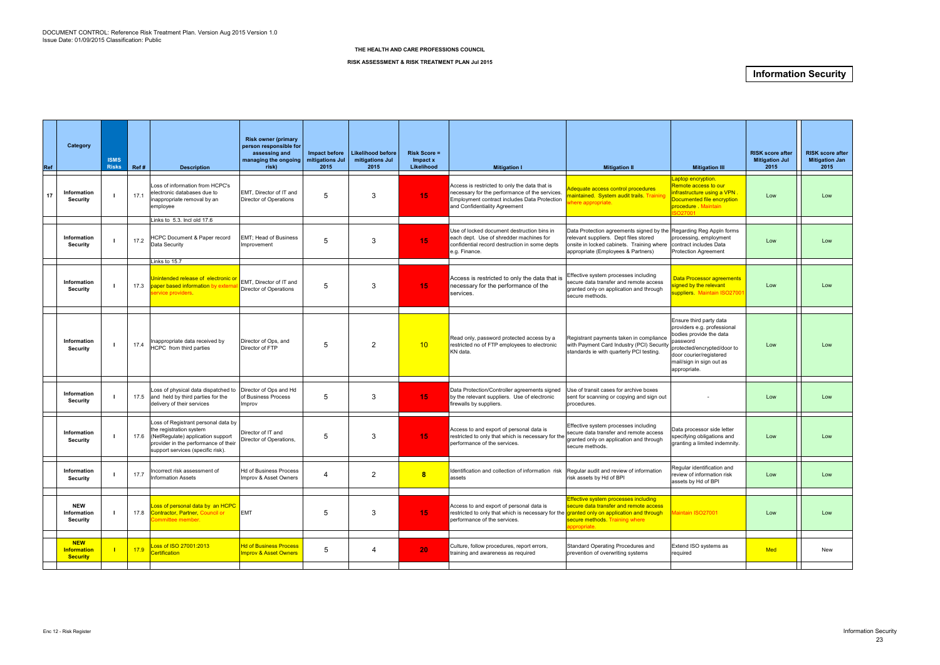| Ref | Category                                            | <b>ISMS</b><br><b>Risks</b> | Ref# | <b>Description</b>                                                                                                                                                               | <b>Risk owner (primary</b><br>person responsible for<br>assessing and<br>managing the ongoing<br>risk) | Impact before<br>mitigations Jul<br>2015 | <b>Likelihood before</b><br>mitigations Jul<br>2015 | $Risk Score =$<br>Impact x<br>Likelihood | <b>Mitigation I</b>                                                                                                                                                              | <b>Mitigation II</b>                                                                                                                                                                                                  | <b>Mitigation III</b>                                                                                                                                                                               | <b>RISK score after</b><br><b>Mitigation Jul</b><br>2015 | <b>RISK score after</b><br><b>Mitigation Jan</b><br>2015 |
|-----|-----------------------------------------------------|-----------------------------|------|----------------------------------------------------------------------------------------------------------------------------------------------------------------------------------|--------------------------------------------------------------------------------------------------------|------------------------------------------|-----------------------------------------------------|------------------------------------------|----------------------------------------------------------------------------------------------------------------------------------------------------------------------------------|-----------------------------------------------------------------------------------------------------------------------------------------------------------------------------------------------------------------------|-----------------------------------------------------------------------------------------------------------------------------------------------------------------------------------------------------|----------------------------------------------------------|----------------------------------------------------------|
| 17  | Information<br>Security                             |                             | 17.1 | Loss of information from HCPC's<br>electronic databases due to<br>inappropriate removal by an<br>employee                                                                        | EMT, Director of IT and<br>Director of Operations                                                      | -5                                       | 3                                                   | 15                                       | Access is restricted to only the data that is<br>necessary for the performance of the services.<br>Employment contract includes Data Protection<br>and Confidentiality Agreement | Adequate access control procedures<br>naintained. System audit trails. Trainin<br>here appropriate.                                                                                                                   | Laptop encryption.<br>Remote access to our<br>infrastructure using a VPN<br>Documented file encryption<br>procedure Maintain<br>SO27001                                                             | Low                                                      | Low                                                      |
|     | Information<br><b>Security</b>                      |                             | 17.2 | Links to 5.3. Incl old 17.6<br><b>HCPC Document &amp; Paper record</b><br>Data Security                                                                                          | EMT; Head of Business<br>Improvement                                                                   | -5                                       | 3                                                   | 15                                       | Use of locked document destruction bins in<br>each dept. Use of shredder machines for<br>confidential record destruction in some depts<br>e.g. Finance.                          | Data Protection agreements signed by the Regarding Reg Appln forms<br>relevant suppliers. Dept files stored<br>onsite in locked cabinets. Training where contract includes Data<br>appropriate (Employees & Partners) | processing, employment<br><b>Protection Agreement</b>                                                                                                                                               | Low                                                      | Low                                                      |
|     | Information<br><b>Security</b>                      |                             | 17.3 | Links to 15.7<br>Unintended release of electronic or<br>paper based information by externa<br>ervice providers.                                                                  | EMT, Director of IT and<br>Director of Operations                                                      | .5                                       | 3                                                   | 15                                       | Access is restricted to only the data that is<br>necessary for the performance of the<br>services.                                                                               | Effective system processes including<br>secure data transfer and remote access<br>granted only on application and through<br>secure methods.                                                                          | Data Processor agreements<br>gned by the relevant<br>uppliers. Maintain ISO27001                                                                                                                    | Low                                                      | Low                                                      |
|     | Information<br><b>Security</b>                      |                             | 17.4 | Inappropriate data received by<br>HCPC from third parties                                                                                                                        | Director of Ops, and<br>Director of FTP                                                                | -5                                       | 2                                                   | 10                                       | Read only, password protected access by a<br>restricted no of FTP employees to electronic<br>KN data                                                                             | Registrant payments taken in compliance<br>with Payment Card Industry (PCI) Security<br>standards ie with quarterly PCI testing.                                                                                      | Ensure third party data<br>providers e.g. professional<br>bodies provide the data<br>password<br>protected/encrypted/door to<br>door courier/registered<br>mail/sign in sign out as<br>appropriate. | Low                                                      | Low                                                      |
|     | Information<br>Security                             |                             |      | Loss of physical data dispatched to<br>17.5 and held by third parties for the<br>delivery of their services                                                                      | Director of Ops and Hd<br>of Business Process<br>Improv                                                | -5                                       | 3                                                   | 15                                       | Data Protection/Controller agreements signed<br>by the relevant suppliers. Use of electronic<br>firewalls by suppliers.                                                          | Use of transit cases for archive boxes<br>sent for scanning or copying and sign out<br>procedures.                                                                                                                    |                                                                                                                                                                                                     | Low                                                      | Low                                                      |
|     | Information<br><b>Security</b>                      |                             | 17.6 | Loss of Registrant personal data by<br>the registration system<br>(NetRegulate) application support<br>provider in the performance of their<br>support services (specific risk). | Director of IT and<br>Director of Operations,                                                          | -5                                       | 3                                                   | 15                                       | Access to and export of personal data is<br>restricted to only that which is necessary for the<br>performance of the services.                                                   | Effective system processes including<br>secure data transfer and remote access<br>granted only on application and through<br>secure methods.                                                                          | Data processor side letter<br>specifying obligations and<br>granting a limited indemnity.                                                                                                           | Low                                                      | Low                                                      |
|     | Information<br><b>Security</b>                      |                             |      | Incorrect risk assessment of<br>17.7 Information Assets                                                                                                                          | Hd of Business Process<br>Improv & Asset Owners                                                        | 4                                        | 2                                                   | $\boldsymbol{8}$                         | Identification and collection of information risk Reqular audit and review of information<br>assets                                                                              | risk assets by Hd of BPI                                                                                                                                                                                              | Regular identification and<br>review of information risk<br>assets by Hd of BPI                                                                                                                     | Low                                                      | Low                                                      |
|     | <b>NEW</b><br>Information<br>Security               |                             |      | Loss of personal data by an HCPC<br>17.8 Contractor, Partner, Council or<br>Committee member.                                                                                    | <b>EMT</b>                                                                                             | 5                                        | 3                                                   | 15 <sub>1</sub>                          | Access to and export of personal data is<br>restricted to only that which is necessary for the <b>granted only on application and through</b><br>performance of the services.    | <b>Effective system processes including</b><br>secure data transfer and remote access<br>secure methods. Training where<br>ppropriate.                                                                                | Maintain ISO27001                                                                                                                                                                                   | Low                                                      | Low                                                      |
|     | <b>NEW</b><br><b>Information</b><br><b>Security</b> |                             | 17.9 | Loss of ISO 27001:2013<br><b>Certification</b>                                                                                                                                   | <b>Id of Business Process</b><br>mprov & Asset Owners                                                  | $\overline{5}$                           | 4                                                   | 20                                       | Culture, follow procedures, report errors,<br>training and awareness as required                                                                                                 | Standard Operating Procedures and<br>prevention of overwriting systems                                                                                                                                                | Extend ISO systems as<br>required                                                                                                                                                                   | <b>Med</b>                                               | New                                                      |
|     |                                                     |                             |      |                                                                                                                                                                                  |                                                                                                        |                                          |                                                     |                                          |                                                                                                                                                                                  |                                                                                                                                                                                                                       |                                                                                                                                                                                                     |                                                          |                                                          |

#### **RISK ASSESSMENT & RISK TREATMENT PLAN Jul 2015**

### **Information Security**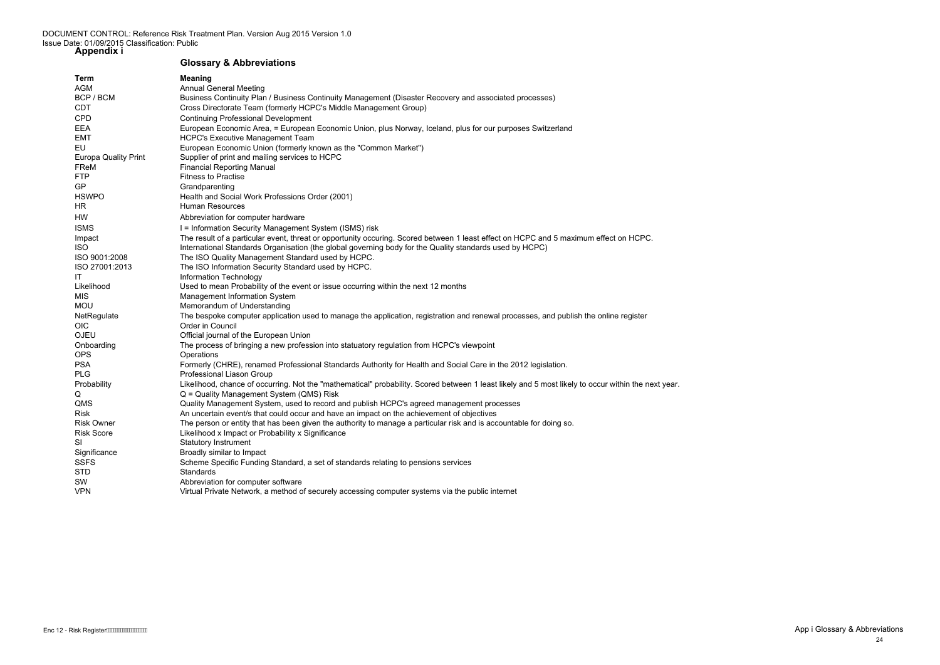### **Glossary & Abbreviations**

enc 12 - Risk Register AMAN MAN MAN MAN MAN MAN MAN App i Glossary & Abbreviations 24

| Term                        | <b>Meaning</b>                                                                                                                                      |
|-----------------------------|-----------------------------------------------------------------------------------------------------------------------------------------------------|
| <b>AGM</b>                  | <b>Annual General Meeting</b>                                                                                                                       |
| BCP / BCM                   | Business Continuity Plan / Business Continuity Management (Disaster Recovery and associated processes)                                              |
| <b>CDT</b>                  | Cross Directorate Team (formerly HCPC's Middle Management Group)                                                                                    |
| <b>CPD</b>                  | <b>Continuing Professional Development</b>                                                                                                          |
| <b>EEA</b>                  | European Economic Area, = European Economic Union, plus Norway, Iceland, plus for our purposes Switzerland                                          |
| <b>EMT</b>                  | <b>HCPC's Executive Management Team</b>                                                                                                             |
| EU                          | European Economic Union (formerly known as the "Common Market")                                                                                     |
| <b>Europa Quality Print</b> | Supplier of print and mailing services to HCPC                                                                                                      |
| FReM                        | <b>Financial Reporting Manual</b>                                                                                                                   |
| <b>FTP</b>                  | <b>Fitness to Practise</b>                                                                                                                          |
| GP                          | Grandparenting                                                                                                                                      |
| <b>HSWPO</b>                | Health and Social Work Professions Order (2001)                                                                                                     |
| HR                          | <b>Human Resources</b>                                                                                                                              |
| HW                          | Abbreviation for computer hardware                                                                                                                  |
| <b>ISMS</b>                 | I = Information Security Management System (ISMS) risk                                                                                              |
| Impact                      | The result of a particular event, threat or opportunity occuring. Scored between 1 least effect on HCPC and 5 maximum effect on HCPC.               |
| <b>ISO</b>                  | International Standards Organisation (the global governing body for the Quality standards used by HCPC)                                             |
| ISO 9001:2008               | The ISO Quality Management Standard used by HCPC.                                                                                                   |
| ISO 27001:2013              | The ISO Information Security Standard used by HCPC.                                                                                                 |
| IT                          | Information Technology                                                                                                                              |
| Likelihood                  | Used to mean Probability of the event or issue occurring within the next 12 months                                                                  |
| <b>MIS</b>                  | Management Information System                                                                                                                       |
| <b>MOU</b>                  | Memorandum of Understanding                                                                                                                         |
| NetRegulate                 | The bespoke computer application used to manage the application, registration and renewal processes, and publish the online register                |
| <b>OIC</b>                  | Order in Council                                                                                                                                    |
| <b>OJEU</b>                 | Official journal of the European Union                                                                                                              |
| Onboarding                  | The process of bringing a new profession into statuatory regulation from HCPC's viewpoint                                                           |
| <b>OPS</b>                  | Operations                                                                                                                                          |
| <b>PSA</b>                  | Formerly (CHRE), renamed Professional Standards Authority for Health and Social Care in the 2012 legislation.                                       |
| <b>PLG</b>                  | Professional Liason Group                                                                                                                           |
| Probability                 | Likelihood, chance of occurring. Not the "mathematical" probability. Scored between 1 least likely and 5 most likely to occur within the next year. |
| Q                           | Q = Quality Management System (QMS) Risk                                                                                                            |
| QMS                         | Quality Management System, used to record and publish HCPC's agreed management processes                                                            |
| Risk                        | An uncertain event/s that could occur and have an impact on the achievement of objectives                                                           |
| <b>Risk Owner</b>           | The person or entity that has been given the authority to manage a particular risk and is accountable for doing so.                                 |
| <b>Risk Score</b>           | Likelihood x Impact or Probability x Significance                                                                                                   |
| <b>SI</b>                   | <b>Statutory Instrument</b>                                                                                                                         |
| Significance                | Broadly similar to Impact                                                                                                                           |
| <b>SSFS</b>                 | Scheme Specific Funding Standard, a set of standards relating to pensions services                                                                  |
| <b>STD</b>                  | Standards                                                                                                                                           |
| SW                          | Abbreviation for computer software                                                                                                                  |
| <b>VPN</b>                  | Virtual Private Network, a method of securely accessing computer systems via the public internet                                                    |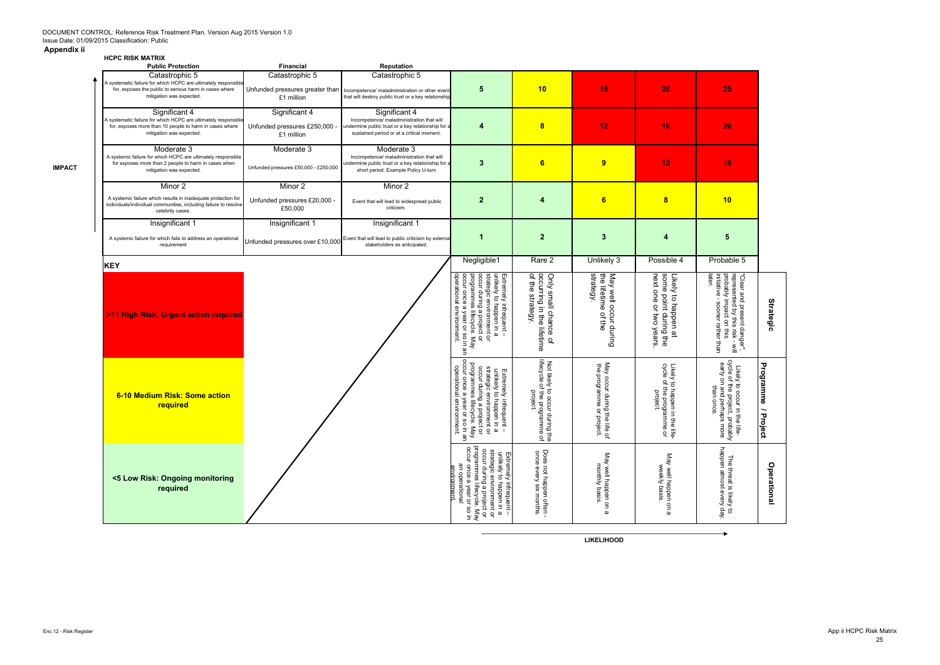### **Appendix ii**

#### **HCPC RISK MATRIX**

**IMPACT**

| <b>Public Protection</b>                                                                                                                                               | <b>Financial</b>                                             | Reputation                                                                                                                                                    |                                                                                                                                                                                                                               |                                                                                                                   |                                                           |                                                                                       |                                                                                                                                        |                                                                                    |
|------------------------------------------------------------------------------------------------------------------------------------------------------------------------|--------------------------------------------------------------|---------------------------------------------------------------------------------------------------------------------------------------------------------------|-------------------------------------------------------------------------------------------------------------------------------------------------------------------------------------------------------------------------------|-------------------------------------------------------------------------------------------------------------------|-----------------------------------------------------------|---------------------------------------------------------------------------------------|----------------------------------------------------------------------------------------------------------------------------------------|------------------------------------------------------------------------------------|
| Catastrophic 5<br>A systematic failure for which HCPC are ultimately responsible<br>for, exposes the public to serious harm in cases where<br>mitigation was expected. | Catastrophic 5<br>£1 million                                 | Catastrophic 5<br>Unfunded pressures greater than   Incompetence/ maladministration or other event<br>that will destroy public trust or a key relationship    | 5                                                                                                                                                                                                                             | 10                                                                                                                | 15                                                        | 20                                                                                    | 25                                                                                                                                     |                                                                                    |
| Significant 4<br>A systematic failure for which HCPC are ultimately responsible<br>for, exposes more than 10 people to harm in cases where<br>mitigation was expected. | Significant 4<br>Unfunded pressures £250,000 -<br>£1 million | Significant 4<br>Incompetence/ maladministration that will<br>indermine public trust or a key relationship for a<br>sustained period or at a critical moment. | 4                                                                                                                                                                                                                             | 8                                                                                                                 | 12                                                        | 16                                                                                    | 20                                                                                                                                     |                                                                                    |
| Moderate 3<br>A systemic failure for which HCPC are ultimately responsible<br>for exposes more than 2 people to harm in cases when<br>mitigation was expected.         | Moderate 3<br>Unfunded pressures £50,000 - £250,000          | Moderate 3<br>Incompetence/ maladministration that will<br>undermine public trust or a key relationship for a<br>short period. Example Policy U-turn          | 3                                                                                                                                                                                                                             | 6                                                                                                                 | 9                                                         | 12                                                                                    | 15                                                                                                                                     |                                                                                    |
| Minor 2                                                                                                                                                                | Minor 2                                                      | Minor 2                                                                                                                                                       |                                                                                                                                                                                                                               |                                                                                                                   |                                                           |                                                                                       |                                                                                                                                        |                                                                                    |
| A systemic failure which results in inadequate protection for<br>individuals/individual communities, including failure to resolve<br>celebrity cases.                  | Unfunded pressures £20,000 -<br>£50,000                      | Event that will lead to widespread public<br>criticism.                                                                                                       | $\mathbf{2}$                                                                                                                                                                                                                  | $\overline{\mathbf{4}}$                                                                                           | $6\phantom{a}$                                            | 8                                                                                     | 10                                                                                                                                     |                                                                                    |
| Insignificant 1                                                                                                                                                        | Insignificant 1                                              | Insignificant 1                                                                                                                                               |                                                                                                                                                                                                                               |                                                                                                                   |                                                           |                                                                                       |                                                                                                                                        |                                                                                    |
| A systemic failure for which fails to address an operational<br>requirement                                                                                            | Unfunded pressures over £10,000                              | Event that will lead to public criticism by externa<br>stakeholders as anticipated.                                                                           | 1                                                                                                                                                                                                                             | $\overline{2}$                                                                                                    | $\mathbf{3}$                                              | 4                                                                                     | 5                                                                                                                                      |                                                                                    |
| <b>KEY</b>                                                                                                                                                             |                                                              |                                                                                                                                                               | Negligible1                                                                                                                                                                                                                   | Rare 2                                                                                                            | Unlikely 3                                                | Possible 4                                                                            | Probable 5                                                                                                                             |                                                                                    |
| >11 High Risk: Urgent action required                                                                                                                                  |                                                              |                                                                                                                                                               | strategic environment or<br>occur during a project or<br>unlikely to happen in a<br>operational environment.<br>occur once a year<br>programmes lifecycle. May<br>Extremely infrequent<br>or so in an                         | occurring in the lifetime<br>of the strategy.<br>Only small chance<br>đ                                           | May well occur during<br>the lifetime of the<br>strategy  | next one<br>some point during the<br>Likely<br>to happen at<br>or two years           | "Clear and present danger",<br>represented by this risk - will<br>probably impact on this<br>initiative - sooner rather than<br>later. | <b>Strategic</b>                                                                   |
| 6-10 Medium Risk: Some action<br>required                                                                                                                              |                                                              |                                                                                                                                                               | occur once a year or<br>operational enviro<br>programmes lifecycle. May<br>unlikely to happen in a<br>strategic environment or<br>occur during a project or<br>Extremely infrequent -<br>$\overline{a}$<br>nment.<br>so in an | lifecyde<br>Not likely to<br>s of the progra<br>sly to occur di<br>project.<br>$\Omega$<br>during the<br>ramme of | May occur during the life of<br>the programme or project. | cycle<br>Likely<br>ly to happen in<br>e program<br>project.<br>n the life.<br>Imme or | cycle of the project,<br>early on and perhap<br>Likely to occur in the life-<br>than once.<br>probably<br>probably                     | <b>Programme</b><br>$\overline{\phantom{0}}$<br>$\mathbf{\overline{u}}$<br>'roject |
| <5 Low Risk: Ongoing monitoring<br>required                                                                                                                            |                                                              |                                                                                                                                                               | programmes lifecycle. May<br>occur once a year or so in<br>strategic environment or<br>occur during a project or<br>unlikely to happen in a<br>Extremely infrequent -<br>٩E<br>environment<br>operational                     | Does not happen often -<br>once every six months.                                                                 | May well happen on a<br>monthly basis                     | May well happen on a<br>weekly basis.                                                 | The threat is likely to<br>happen almost every day                                                                                     | <b>Operational</b>                                                                 |

**LIKELIHOOD**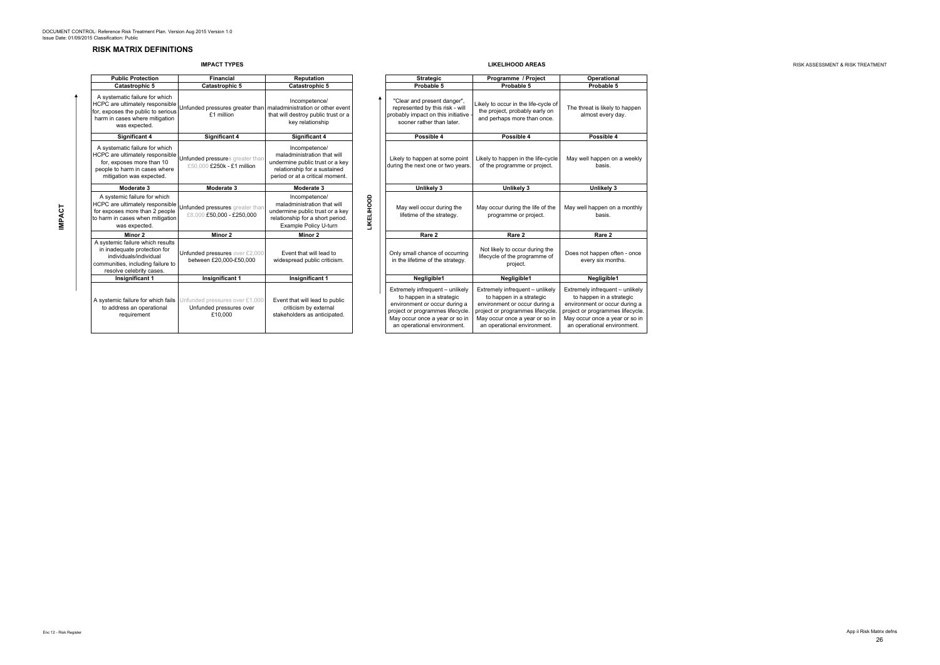### **RISK MATRIX DEFINITIONS**

### **IMPACT TYPES**

| <b>Public Protection</b>                                                                                                                                    | <b>Financial</b>                                                     | <b>Reputation</b>                                                                                                                                  |
|-------------------------------------------------------------------------------------------------------------------------------------------------------------|----------------------------------------------------------------------|----------------------------------------------------------------------------------------------------------------------------------------------------|
| <b>Catastrophic 5</b>                                                                                                                                       | <b>Catastrophic 5</b>                                                | <b>Catastrophic 5</b>                                                                                                                              |
| A systematic failure for which<br>HCPC are ultimately responsible<br>for, exposes the public to serious<br>harm in cases where mitigation<br>was expected.  | Unfunded pressures greater than<br>£1 million                        | Incompetence/<br>maladministration or other event<br>that will destroy public trust or a<br>key relationship                                       |
| Significant 4                                                                                                                                               | <b>Significant 4</b>                                                 | <b>Significant 4</b>                                                                                                                               |
| A systematic failure for which<br>HCPC are ultimately responsible<br>for, exposes more than 10<br>people to harm in cases where<br>mitigation was expected. | Unfunded pressures greater than<br>£50.000 £250k - £1 million        | Incompetence/<br>maladministration that will<br>undermine public trust or a key<br>relationship for a sustained<br>period or at a critical moment. |
| Moderate 3                                                                                                                                                  | Moderate 3                                                           | Moderate 3                                                                                                                                         |
| A systemic failure for which<br>HCPC are ultimately responsible<br>for exposes more than 2 people<br>to harm in cases when mitigation<br>was expected.      | Unfunded pressures greater than<br>£8,000 £50,000 - £250,000         | Incompetence/<br>maladministration that will<br>undermine public trust or a key<br>relationship for a short period.<br>Example Policy U-turn       |
| Minor 2                                                                                                                                                     | Minor 2                                                              | Minor 2                                                                                                                                            |
| A systemic failure which results<br>in inadequate protection for<br>individuals/individual<br>communities, including failure to<br>resolve celebrity cases. | Unfunded pressures over £2,000<br>between £20,000-£50,000            | Event that will lead to<br>widespread public criticism.                                                                                            |
| <b>Insignificant 1</b>                                                                                                                                      | Insignificant 1                                                      | <b>Insignificant 1</b>                                                                                                                             |
| A systemic failure for which fails<br>to address an operational<br>requirement                                                                              | Unfunded pressures over £1,000<br>Unfunded pressures over<br>£10.000 | Event that will lead to public<br>criticism by external<br>stakeholders as anticipated.                                                            |

**LIKELIHOOD AREAS ALL AND A RISK ASSESSMENT & RISK TREATMENT RISK ASSESSMENT & RISK TREATMENT** 

| ublic Protection                                                                                                                   | <b>Financial</b>                                                                                 | <b>Reputation</b>                                                                                                                                  |                   | <b>Strategic</b>                                                                                                                                                                                  | Programme / Project                                                                                                                                                                               | Operational                                                                                                                                                                                       |  |  |
|------------------------------------------------------------------------------------------------------------------------------------|--------------------------------------------------------------------------------------------------|----------------------------------------------------------------------------------------------------------------------------------------------------|-------------------|---------------------------------------------------------------------------------------------------------------------------------------------------------------------------------------------------|---------------------------------------------------------------------------------------------------------------------------------------------------------------------------------------------------|---------------------------------------------------------------------------------------------------------------------------------------------------------------------------------------------------|--|--|
| Catastrophic 5                                                                                                                     | Catastrophic 5                                                                                   | <b>Catastrophic 5</b>                                                                                                                              |                   | Probable 5                                                                                                                                                                                        | Probable 5                                                                                                                                                                                        | Probable 5                                                                                                                                                                                        |  |  |
| ematic failure for which<br>re ultimately responsible<br>ses the public to serious<br>cases where mitigation<br>was expected.      | Unfunded pressures greater than<br>£1 million                                                    | Incompetence/<br>maladministration or other event<br>that will destroy public trust or a<br>key relationship                                       |                   | "Clear and present danger",<br>represented by this risk - will<br>probably impact on this initiative<br>sooner rather than later.                                                                 | Likely to occur in the life-cycle of<br>the project, probably early on<br>and perhaps more than once.                                                                                             | The threat is likely to happen<br>almost every day.                                                                                                                                               |  |  |
| Significant 4                                                                                                                      | <b>Significant 4</b>                                                                             | <b>Significant 4</b>                                                                                                                               |                   | Possible 4                                                                                                                                                                                        | Possible 4                                                                                                                                                                                        | Possible 4                                                                                                                                                                                        |  |  |
| ematic failure for which<br>re ultimately responsible<br>xposes more than 10<br>to harm in cases where<br>ation was expected.      | Unfunded pressures greater than<br>£50.000 £250k - £1 million                                    | Incompetence/<br>maladministration that will<br>undermine public trust or a key<br>relationship for a sustained<br>period or at a critical moment. |                   | Likely to happen at some point<br>during the next one or two years.                                                                                                                               | Likely to happen in the life-cycle<br>of the programme or project.                                                                                                                                | May well happen on a weekly<br>basis.                                                                                                                                                             |  |  |
| Moderate 3                                                                                                                         | Moderate 3                                                                                       | Moderate 3                                                                                                                                         |                   | Unlikely 3                                                                                                                                                                                        | Unlikely 3                                                                                                                                                                                        | Unlikely 3                                                                                                                                                                                        |  |  |
| emic failure for which<br>re ultimately responsible<br>ses more than 2 people<br>n cases when mitigation<br>was expected.          | Unfunded pressures greater than<br>£8,000 £50,000 - £250,000                                     | Incompetence/<br>maladministration that will<br>undermine public trust or a key<br>relationship for a short period.<br>Example Policy U-turn       | <b>TIKELIHOOD</b> | May well occur during the<br>lifetime of the strategy.                                                                                                                                            | May occur during the life of the<br>programme or project.                                                                                                                                         | May well happen on a monthly<br>basis.                                                                                                                                                            |  |  |
| Minor 2                                                                                                                            | Minor 2                                                                                          | Minor 2                                                                                                                                            |                   | Rare 2                                                                                                                                                                                            | Rare 2                                                                                                                                                                                            | Rare 2                                                                                                                                                                                            |  |  |
| nic failure which results<br>dequate protection for<br>lividuals/individual<br>ities, including failure to<br>lve celebrity cases. | Unfunded pressures over £2,000<br>between £20,000-£50,000                                        | Event that will lead to<br>widespread public criticism.                                                                                            |                   | Only small chance of occurring<br>in the lifetime of the strategy.                                                                                                                                | Not likely to occur during the<br>lifecycle of the programme of<br>project.                                                                                                                       | Does not happen often - once<br>every six months.                                                                                                                                                 |  |  |
| Insignificant 1                                                                                                                    | Insignificant 1                                                                                  | Insignificant 1                                                                                                                                    |                   | Negligible1                                                                                                                                                                                       | Negligible1                                                                                                                                                                                       | Negligible1                                                                                                                                                                                       |  |  |
| dress an operational<br>requirement                                                                                                | nic failure for which fails Unfunded pressures over £1,000<br>Unfunded pressures over<br>£10.000 | Event that will lead to public<br>criticism by external<br>stakeholders as anticipated.                                                            |                   | Extremely infrequent - unlikely<br>to happen in a strategic<br>environment or occur during a<br>project or programmes lifecycle.<br>May occur once a year or so in<br>an operational environment. | Extremely infrequent - unlikely<br>to happen in a strategic<br>environment or occur during a<br>project or programmes lifecycle.<br>May occur once a year or so in<br>an operational environment. | Extremely infrequent - unlikely<br>to happen in a strategic<br>environment or occur during a<br>project or programmes lifecycle.<br>May occur once a year or so in<br>an operational environment. |  |  |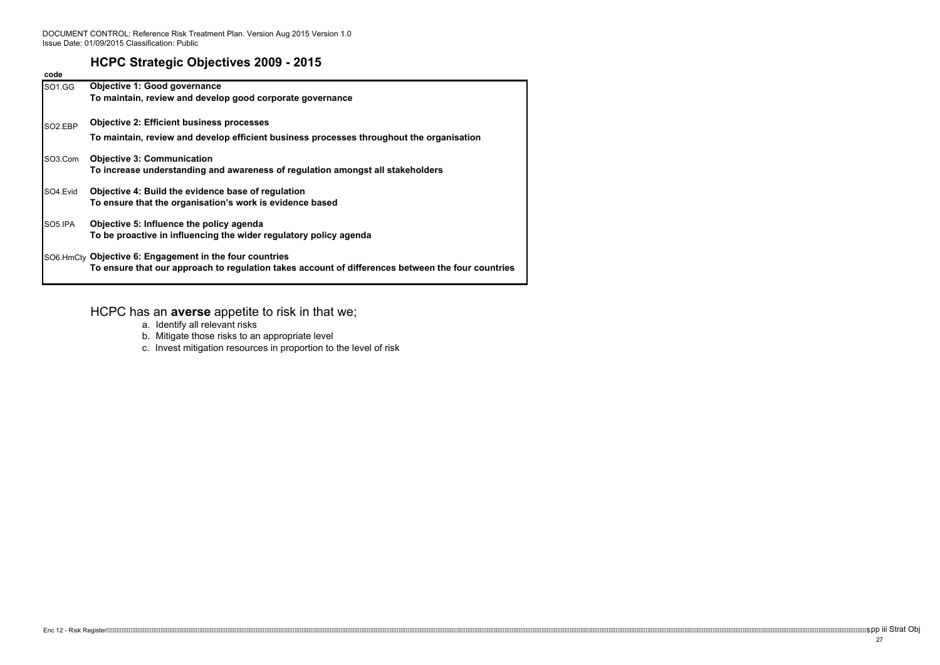DOCUMENT CONTROL: Reference Risk Treatment Plan. Version Aug 2015 Version 1.0 Issue Date: 01/09/2015 Classification: Public

# **HCPC Strategic Objectives 2009 - 2015**

| code                 |                                                                                                   |  |  |  |  |  |  |  |  |  |  |
|----------------------|---------------------------------------------------------------------------------------------------|--|--|--|--|--|--|--|--|--|--|
| SO1.GG               | <b>Objective 1: Good governance</b>                                                               |  |  |  |  |  |  |  |  |  |  |
|                      | To maintain, review and develop good corporate governance                                         |  |  |  |  |  |  |  |  |  |  |
| SO <sub>2</sub> .EBP | <b>Objective 2: Efficient business processes</b>                                                  |  |  |  |  |  |  |  |  |  |  |
|                      | To maintain, review and develop efficient business processes throughout the organisation          |  |  |  |  |  |  |  |  |  |  |
| SO3.Com              | <b>Objective 3: Communication</b>                                                                 |  |  |  |  |  |  |  |  |  |  |
|                      | To increase understanding and awareness of regulation amongst all stakeholders                    |  |  |  |  |  |  |  |  |  |  |
| SO4.Evid             | Objective 4: Build the evidence base of regulation                                                |  |  |  |  |  |  |  |  |  |  |
|                      | To ensure that the organisation's work is evidence based                                          |  |  |  |  |  |  |  |  |  |  |
| SO5.IPA              | Objective 5: Influence the policy agenda                                                          |  |  |  |  |  |  |  |  |  |  |
|                      | To be proactive in influencing the wider regulatory policy agenda                                 |  |  |  |  |  |  |  |  |  |  |
|                      | SO6.HmCty Objective 6: Engagement in the four countries                                           |  |  |  |  |  |  |  |  |  |  |
|                      | To ensure that our approach to regulation takes account of differences between the four countries |  |  |  |  |  |  |  |  |  |  |

# HCPC has an **averse** appetite to risk in that we;

- a. Identify all relevant risks
- b. Mitigate those risks to an appropriate level
- c. Invest mitigation resources in proportion to the level of risk

Enc 12 - Risk Register*httoiduiden methologiden methologiden methologiden methologiden methologiden methologiden methologiden methologiden methologiden methologiden methologiden methologiden methologiden methologiden metho*